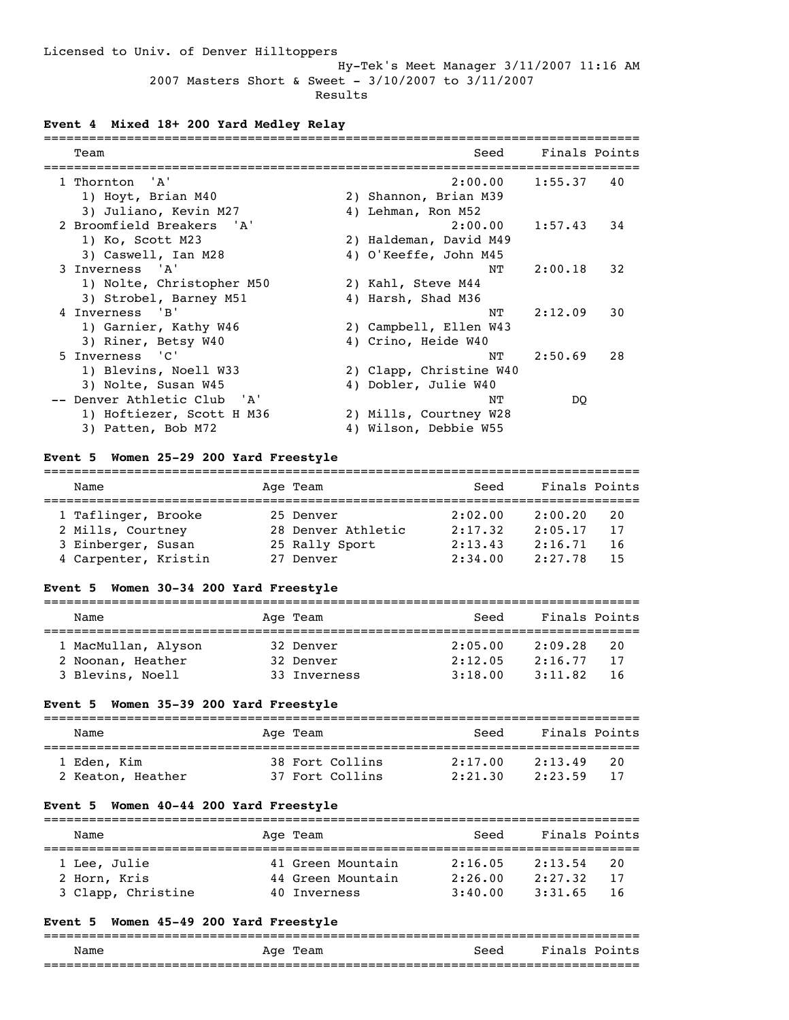Hy-Tek's Meet Manager 3/11/2007 11:16 AM 2007 Masters Short & Sweet - 3/10/2007 to 3/11/2007

Results

# **Event 4 Mixed 18+ 200 Yard Medley Relay**

| Team                        |    | Seed                    | Finals Points |     |
|-----------------------------|----|-------------------------|---------------|-----|
| 1 Thornton 'A'              |    | 2:00.00                 | 1:55.37       | 40  |
| 1) Hoyt, Brian M40          |    | 2) Shannon, Brian M39   |               |     |
| 3) Juliano, Kevin M27       |    | 4) Lehman, Ron M52      |               |     |
| 2 Broomfield Breakers 'A'   |    | 2:00.00                 | 1:57.43       | 34  |
| 1) Ko, Scott M23            |    | 2) Haldeman, David M49  |               |     |
| 3) Caswell, Ian M28         |    | 4) O'Keeffe, John M45   |               |     |
| 3 Inverness 'A'             |    | NТ                      | 2:00.18       | 32  |
| 1) Nolte, Christopher M50   |    | 2) Kahl, Steve M44      |               |     |
| 3) Strobel, Barney M51      |    | 4) Harsh, Shad M36      |               |     |
| 4 Inverness 'B'             |    | NΤ                      | 2:12.09       | 30  |
| 1) Garnier, Kathy W46       |    | 2) Campbell, Ellen W43  |               |     |
| 3) Riner, Betsy W40         |    | 4) Crino, Heide W40     |               |     |
| 5 Inverness 'C'             |    | NТ                      | 2:50.69       | 2.8 |
| 1) Blevins, Noell W33       |    | 2) Clapp, Christine W40 |               |     |
| 3) Nolte, Susan W45         |    | 4) Dobler, Julie W40    |               |     |
| -- Denver Athletic Club 'A' |    | NΤ                      | DO.           |     |
| 1) Hoftiezer, Scott H M36   |    | 2) Mills, Courtney W28  |               |     |
| 3) Patten, Bob M72          | 4) | Wilson, Debbie W55      |               |     |

## **Event 5 Women 25-29 200 Yard Freestyle**

| Name                 | Age Team           | Seed    | Finals Points |  |
|----------------------|--------------------|---------|---------------|--|
| 1 Taflinger, Brooke  | 25 Denver          | 2:02.00 | 2:00.20<br>20 |  |
| 2 Mills, Courtney    | 28 Denver Athletic | 2:17.32 | 2:05.17<br>17 |  |
| 3 Einberger, Susan   | 25 Rally Sport     | 2:13.43 | 2:16.71<br>16 |  |
| 4 Carpenter, Kristin | 27 Denver          | 2:34.00 | 2:27.78<br>15 |  |

# **Event 5 Women 30-34 200 Yard Freestyle**

| Name                | Age Team     | Seed    | Finals Points |    |
|---------------------|--------------|---------|---------------|----|
| 1 MacMullan, Alyson | 32 Denver    | 2:05.00 | 2:09.28       | 20 |
| 2 Noonan, Heather   | 32 Denver    | 2:12.05 | 2:16.77       | 17 |
| 3 Blevins, Noell    | 33 Inverness | 3:18.00 | 3:11.82       | 16 |

## **Event 5 Women 35-39 200 Yard Freestyle**

| Name              | Age Team        | Seed    | Finals Points |  |
|-------------------|-----------------|---------|---------------|--|
| 1 Eden, Kim       | 38 Fort Collins | 2:17.00 | 2:13.49<br>20 |  |
| 2 Keaton, Heather | 37 Fort Collins | 2:21.30 | 2:23.59<br>17 |  |

## **Event 5 Women 40-44 200 Yard Freestyle**

| Name               | Age Team          | Seed    | Finals Points  |  |
|--------------------|-------------------|---------|----------------|--|
| 1 Lee, Julie       | 41 Green Mountain | 2:16.05 | 2:13.54<br>-20 |  |
| 2 Horn, Kris       | 44 Green Mountain | 2:26.00 | 2:27.32<br>17  |  |
| 3 Clapp, Christine | 40 Inverness      | 3:40.00 | 3:31.65<br>-16 |  |

## **Event 5 Women 45-49 200 Yard Freestyle**

|      | --------------------- |      |               |
|------|-----------------------|------|---------------|
|      |                       |      |               |
| Name | Team<br>Aqe           | Seed | Finals Points |
|      |                       |      |               |
|      |                       |      |               |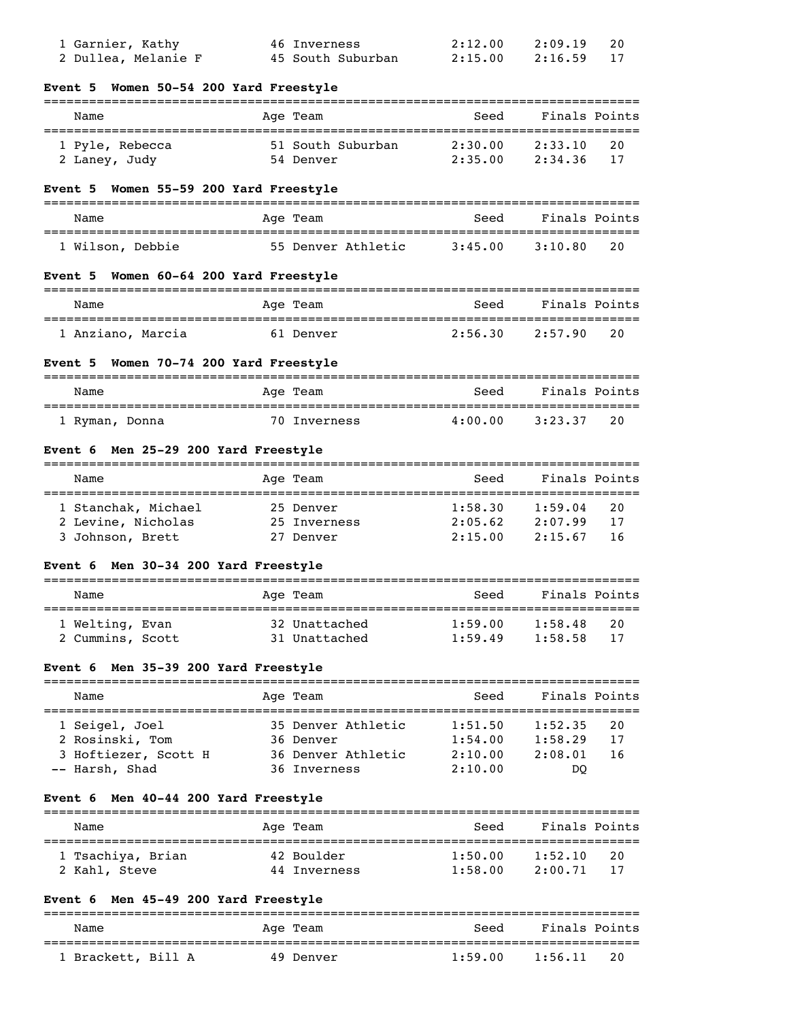| 1 Garnier, Kathy<br>2 Dullea, Melanie F                         | 46 Inverness<br>45 South Suburban  | 2:12.00<br>2:15.00 | 2:09.19<br>20<br>2:16.59<br>17 |
|-----------------------------------------------------------------|------------------------------------|--------------------|--------------------------------|
| Event 5 Women 50-54 200 Yard Freestyle                          |                                    |                    |                                |
| Name                                                            | Age Team                           | Seed               | Finals Points                  |
| 1 Pyle, Rebecca                                                 | 51 South Suburban                  | 2:30.00            | 20<br>2:33.10                  |
| 2 Laney, Judy                                                   | 54 Denver                          | 2:35.00            | 2:34.36<br>17                  |
| Event 5 Women 55-59 200 Yard Freestyle                          |                                    |                    |                                |
| Name                                                            | Age Team                           | Seed               | Finals Points                  |
| 1 Wilson, Debbie                                                | 55 Denver Athletic                 | 3:45.00            | 3:10.80<br>20                  |
| Event 5 Women 60-64 200 Yard Freestyle                          |                                    |                    |                                |
| Name                                                            | Age Team                           | Seed               | Finals Points                  |
| 1 Anziano, Marcia                                               | 61 Denver                          | 2:56.30            | 2:57.90<br>20                  |
| Event 5 Women 70-74 200 Yard Freestyle                          |                                    |                    |                                |
| Name                                                            | Age Team                           | Seed               | Finals Points                  |
| 1 Ryman, Donna                                                  | 70 Inverness                       | 4:00.00            | 3:23.37<br>20                  |
| Event 6 Men 25-29 200 Yard Freestyle                            |                                    |                    |                                |
| Name                                                            | Age Team                           | Seed               | Finals Points                  |
| 1 Stanchak, Michael                                             | 25 Denver                          | 1:58.30            | 20<br>1:59.04                  |
| 2 Levine, Nicholas                                              | 25 Inverness                       | 2:05.62            | 2:07.99<br>17                  |
| 3 Johnson, Brett                                                | 27 Denver                          | 2:15.00            | 2:15.67<br>16                  |
| Event 6 Men 30-34 200 Yard Freestyle                            |                                    |                    |                                |
| Name                                                            | Age Team                           | Seed               | Finals Points                  |
| 1 Welting, Evan                                                 | 32 Unattached                      | 1:59.00            | 1:58.48<br>20                  |
| 2 Cummins, Scott                                                | 31 Unattached                      | 1:59.49            | 1:58.58<br>17                  |
| Event 6 Men 35-39 200 Yard Freestyle<br>======================= |                                    |                    |                                |
| Name                                                            | Age Team                           | Seed               | Finals Points                  |
| 1 Seigel, Joel                                                  | 35 Denver Athletic                 | 1:51.50            | 1:52.35<br>20                  |
| 2 Rosinski, Tom                                                 | 36 Denver                          | 1:54.00            | 1:58.29<br>17                  |
| 3 Hoftiezer, Scott H<br>-- Harsh, Shad                          | 36 Denver Athletic<br>36 Inverness | 2:10.00<br>2:10.00 | 2:08.01<br>16<br>DQ            |
|                                                                 |                                    |                    |                                |
| Event 6 Men 40-44 200 Yard Freestyle                            |                                    |                    |                                |
| Name                                                            | Age Team                           | Seed               | Finals Points                  |
| 1 Tsachiya, Brian                                               | 42 Boulder                         | 1:50.00            | 20<br>1:52.10                  |
| 2 Kahl, Steve                                                   | 44 Inverness                       | 1:58.00            | 2:00.71<br>17                  |
| Event 6 Men 45-49 200 Yard Freestyle                            |                                    |                    |                                |
| Name                                                            | Age Team                           | Seed               | Finals Points                  |
| 1 Brackett, Bill A                                              | 49 Denver                          | 1:59.00            | 1:56.11<br>20                  |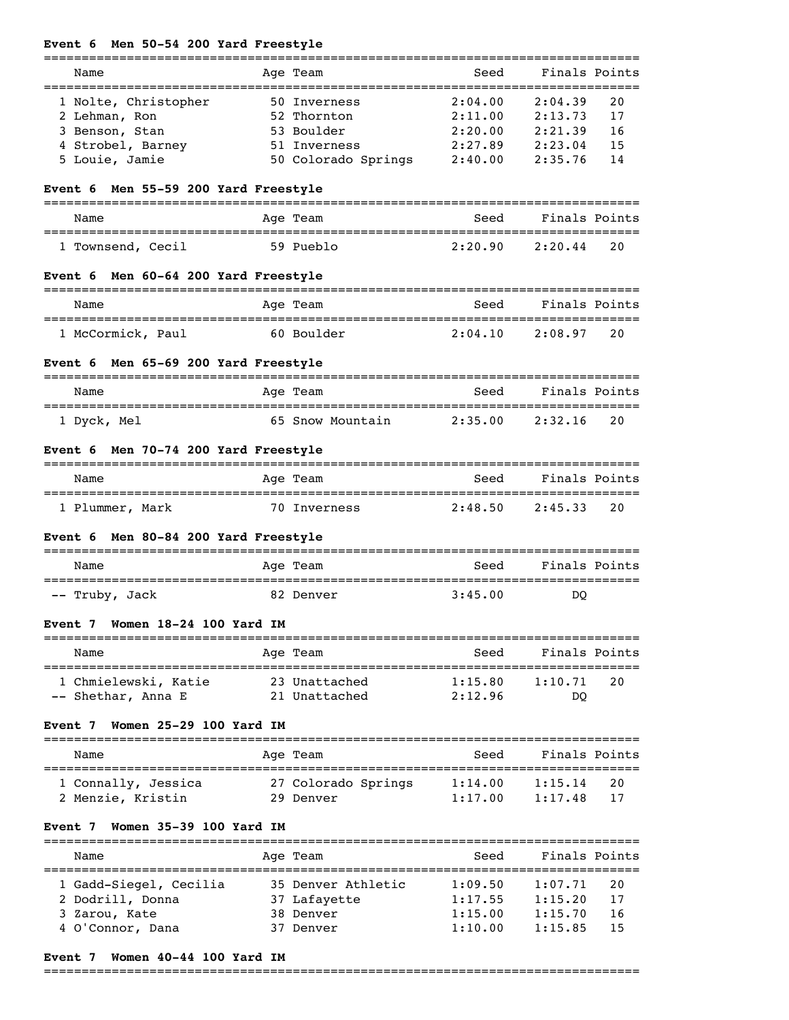|  |  |  | Event 6 Men 50-54 200 Yard Freestyle |
|--|--|--|--------------------------------------|

|                                                          | ============                             |                                            |                           |    |
|----------------------------------------------------------|------------------------------------------|--------------------------------------------|---------------------------|----|
| Name<br>===============================                  | Age Team                                 | Seed<br>. _ _ _ _ _ _ _ _ _ _              | Finals Points<br>======== |    |
| 1 Nolte, Christopher                                     | 50 Inverness                             | 2:04.00                                    | 2:04.39                   | 20 |
| 2 Lehman, Ron                                            | 52 Thornton                              | 2:11.00                                    | 2:13.73                   | 17 |
| 3 Benson, Stan                                           | 53 Boulder                               | 2:20.00                                    | 2:21.39                   | 16 |
| 4 Strobel, Barney                                        | 51 Inverness                             | 2:27.89                                    | 2:23.04                   | 15 |
| 5 Louie, Jamie                                           | 50 Colorado Springs                      | 2:40.00                                    | 2:35.76                   | 14 |
| Event 6 Men 55-59 200 Yard Freestyle                     |                                          |                                            |                           |    |
| Name                                                     | Age Team                                 | Seed                                       | Finals Points             |    |
| 1 Townsend, Cecil                                        | 59 Pueblo                                | 2:20.90                                    | 2:20.44                   | 20 |
| Event 6 Men 60-64 200 Yard Freestyle                     |                                          |                                            |                           |    |
| Name                                                     | Age Team                                 | Seed                                       | Finals Points             |    |
| ===================================<br>1 McCormick, Paul | :=======================<br>60 Boulder   | 2:04.10                                    | =======<br>2:08.97        | 20 |
| Men 65-69 200 Yard Freestyle<br>Event 6                  |                                          |                                            |                           |    |
| Name                                                     | Age Team                                 | Seed                                       | Finals Points             |    |
| 1 Dyck, Mel                                              | 65 Snow Mountain                         | 2:35.00                                    | 2:32.16                   | 20 |
| Men 70-74 200 Yard Freestyle<br>Event 6                  |                                          |                                            |                           |    |
| Name                                                     | Age Team                                 | Seed                                       | Finals Points             |    |
| 1 Plummer, Mark                                          | 70 Inverness                             | 2:48.50                                    | 2:45.33                   | 20 |
| Men 80-84 200 Yard Freestyle<br>Event 6                  |                                          |                                            |                           |    |
| Name                                                     | Age Team                                 | Seed                                       | Finals Points             |    |
| -- Truby, Jack                                           | 82 Denver                                | 3:45.00                                    | DO                        |    |
| Women 18-24 100 Yard IM<br>Event 7                       | --------------------                     |                                            |                           |    |
| Name                                                     | Age Team                                 | ----------------------------------<br>Seed | Finals Points             |    |
| 1 Chmielewski, Katie                                     | -----------------------<br>23 Unattached | 1:15.80                                    | :===========<br>1:10.71   | 20 |
| -- Shethar, Anna E                                       | 21 Unattached                            | 2:12.96                                    | DQ                        |    |
| Women 25-29 100 Yard IM<br>Event 7                       |                                          |                                            |                           |    |
| Name                                                     | Age Team                                 | Seed                                       | Finals Points             |    |
| 1 Connally, Jessica                                      | 27 Colorado Springs                      | 1:14.00                                    | 1:15.14                   | 20 |
| 2 Menzie, Kristin                                        | 29 Denver                                | 1:17.00                                    | 1:17.48                   | 17 |
| Women 35-39 100 Yard IM<br>Event 7                       |                                          |                                            |                           |    |
| Name                                                     | Age Team                                 | Seed                                       | Finals Points             |    |
| 1 Gadd-Siegel, Cecilia                                   | 35 Denver Athletic                       | 1:09.50                                    | 1:07.71                   | 20 |
| 2 Dodrill, Donna                                         | 37 Lafayette                             | 1:17.55                                    | 1:15.20                   | 17 |
| 3 Zarou, Kate                                            | 38 Denver                                | 1:15.00                                    | 1:15.70                   | 16 |
| 4 O'Connor, Dana                                         | 37 Denver                                | 1:10.00                                    | 1:15.85                   | 15 |

# **Event 7 Women 40-44 100 Yard IM**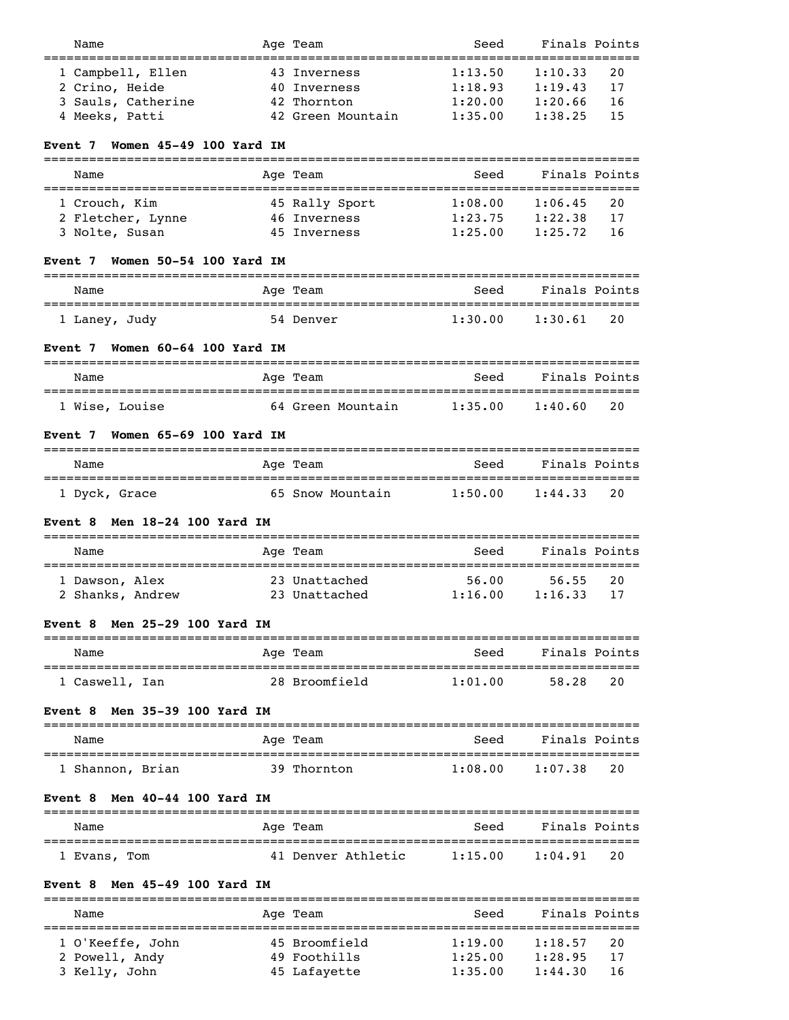| Name                                                                         | Age Team                     | Seed                   | Finals Points<br>----------   |
|------------------------------------------------------------------------------|------------------------------|------------------------|-------------------------------|
| 1 Campbell, Ellen                                                            | 43 Inverness                 | 1:13.50                | 1:10.33<br>20                 |
| 2 Crino, Heide                                                               | 40 Inverness                 | 1:18.93                | 1:19.43<br>17                 |
| 3 Sauls, Catherine                                                           | 42 Thornton                  | 1:20.00                | 1:20.66<br>16                 |
| 4 Meeks, Patti                                                               | 42 Green Mountain            | 1:35.00                | 1:38.25<br>15                 |
|                                                                              |                              |                        |                               |
| Women 45-49 100 Yard IM<br>Event 7                                           |                              |                        |                               |
| Name                                                                         | Age Team                     | Seed                   | Finals Points                 |
| 1 Crouch, Kim                                                                | 45 Rally Sport               | 1:08.00                | 1:06.45<br>20                 |
| 2 Fletcher, Lynne                                                            | 46 Inverness                 | 1:23.75                | 1:22.38<br>17                 |
| 3 Nolte, Susan                                                               | 45 Inverness                 | 1:25.00                | 1:25.72<br>16                 |
| Women 50-54 100 Yard IM<br>Event 7                                           |                              |                        |                               |
| Name                                                                         | Age Team                     | Seed                   | Finals Points                 |
| ==================================<br>1 Laney, Judy                          | 54 Denver                    | :==========<br>1:30.00 | ============<br>1:30.61<br>20 |
|                                                                              |                              |                        |                               |
| Women 60-64 100 Yard IM<br>Event 7<br>====================================== |                              |                        |                               |
| Name                                                                         | Age Team                     | Seed                   | Finals Points                 |
| 1 Wise, Louise                                                               | 64 Green Mountain            | 1:35.00                | 1:40.60<br>20                 |
| Women 65-69 100 Yard IM<br>Event 7                                           |                              |                        |                               |
| Name                                                                         | Age Team                     | Seed                   | Finals Points                 |
| 1 Dyck, Grace                                                                | 65 Snow Mountain             | 1:50.00                | 1:44.33<br>20                 |
|                                                                              |                              |                        |                               |
| Event 8 Men $18-24$ 100 Yard IM                                              |                              |                        |                               |
| Name                                                                         | Age Team                     | Seed                   | Finals Points                 |
| 1 Dawson, Alex                                                               | 23 Unattached                | 56.00                  | 56.55<br>20                   |
| 2 Shanks, Andrew                                                             | 23 Unattached                | 1:16.00                | 1:16.33<br>17                 |
| <b>Men 25-29 100 Yard IM</b><br>Event 8                                      |                              |                        |                               |
| Name                                                                         | ----------<br>Age Team       | Seed                   | Finals Points                 |
| 1 Caswell, Ian                                                               | 28 Broomfield                | 1:01.00                | 20<br>58.28                   |
| Men 35-39 100 Yard IM<br>Event 8                                             |                              |                        |                               |
|                                                                              |                              |                        |                               |
| Name                                                                         | Age Team                     | Seed                   | Finals Points                 |
| 1 Shannon, Brian                                                             | 39 Thornton                  | 1:08.00                | 1:07.38<br>20                 |
| Men 40-44 100 Yard IM<br>Event 8                                             |                              |                        |                               |
| Name                                                                         | Age Team                     | Seed                   | Finals Points                 |
| 1 Evans, Tom                                                                 | 41 Denver Athletic           | 1:15.00                | 20<br>1:04.91                 |
| Men 45-49 100 Yard IM<br>Event 8                                             |                              |                        |                               |
|                                                                              |                              |                        |                               |
|                                                                              | ======================       |                        |                               |
| Name                                                                         | Age Team                     | Seed                   | Finals Points                 |
| 1 O'Keeffe, John                                                             | 45 Broomfield                | 1:19.00                | 20<br>1:18.57                 |
| 2 Powell, Andy<br>3 Kelly, John                                              | 49 Foothills<br>45 Lafayette | 1:25.00<br>1:35.00     | 1:28.95<br>17                 |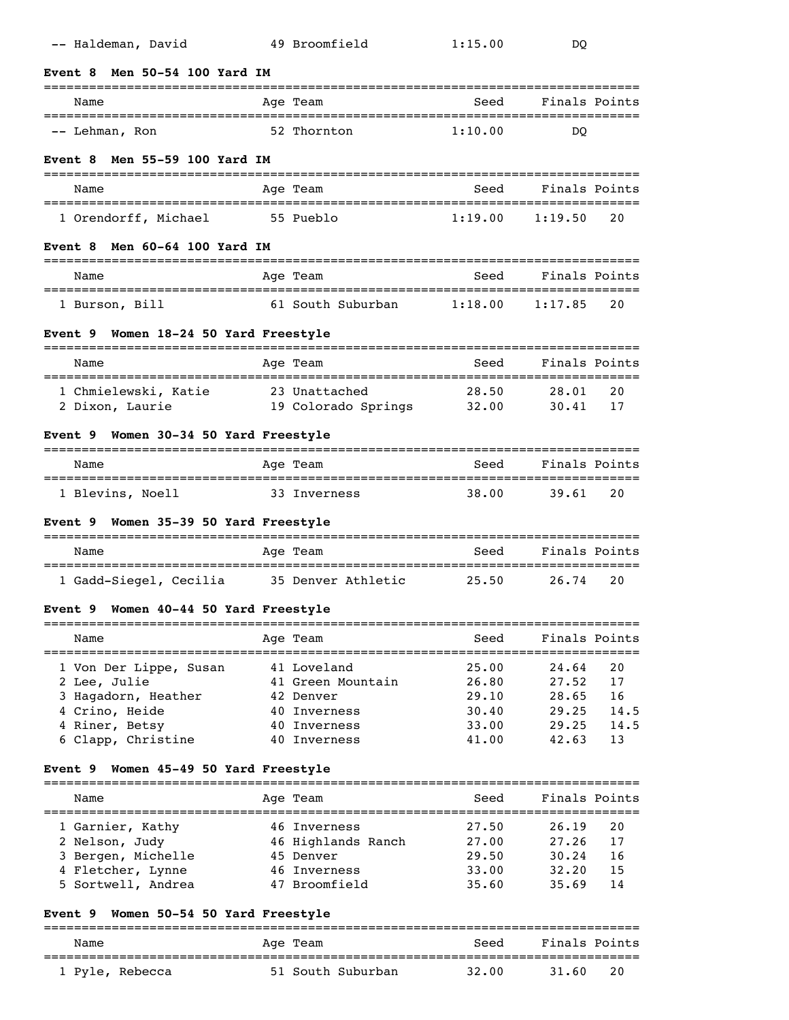| -- Haldeman, David                              | 49 Broomfield                 | 1:15.00                               | DQ             |            |
|-------------------------------------------------|-------------------------------|---------------------------------------|----------------|------------|
| Men 50-54 100 Yard IM<br><b>Event 8</b>         |                               |                                       |                |            |
| Name                                            | Age Team                      | Seed                                  | Finals Points  |            |
| -- Lehman, Ron                                  | 52 Thornton                   | 1:10.00                               | DO             |            |
| Men 55-59 100 Yard IM<br><b>Event 8</b>         |                               |                                       |                |            |
| Name                                            | Age Team                      | Seed                                  | Finals Points  |            |
| 1 Orendorff, Michael                            | 55 Pueblo                     | 1:19.00                               | 1:19.50        | 20         |
| Men 60-64 100 Yard IM<br>Event 8                |                               |                                       |                |            |
| Name                                            | Age Team                      | Seed                                  | Finals Points  |            |
| 1 Burson, Bill                                  | 61 South Suburban             | 1:18.00                               | 1:17.85        | 20         |
| Women 18-24 50 Yard Freestyle<br><b>Event 9</b> |                               |                                       |                |            |
| Name                                            | Age Team                      | Seed                                  | Finals Points  |            |
| 1 Chmielewski, Katie 23 Unattached              |                               | 28.50                                 | 28.01          | 20         |
| 2 Dixon, Laurie                                 | 19 Colorado Springs 32.00     |                                       | 30.41          | 17         |
| Women 30-34 50 Yard Freestyle<br>Event 9        |                               |                                       |                |            |
| Name                                            | Age Team                      | Seed                                  | Finals Points  |            |
| 1 Blevins, Noell                                | 33 Inverness                  | 38.00                                 | 39.61          | 20         |
| Women 35-39 50 Yard Freestyle<br><b>Event</b> 9 |                               |                                       |                |            |
| Name                                            | Age Team                      | Seed                                  | Finals Points  |            |
| 1 Gadd-Siegel, Cecilia 35 Denver Athletic       |                               | 25.50                                 | 26.74          | 20         |
| Women 40-44 50 Yard Freestyle<br>Event 9        |                               |                                       |                |            |
| Name                                            | =========<br>Age Team         | =============================<br>Seed | Finals Points  |            |
| 1 Von Der Lippe, Susan                          | 41 Loveland                   | 25.00                                 | 24.64          | 20         |
| 2 Lee, Julie                                    | 41 Green Mountain             | 26.80                                 | 27.52          | 17         |
| 3 Hagadorn, Heather                             | 42 Denver                     | 29.10                                 | 28.65          | 16         |
| 4 Crino, Heide                                  | 40 Inverness                  | 30.40                                 | 29.25          | 14.5       |
| 4 Riner, Betsy<br>6 Clapp, Christine            | 40 Inverness<br>40 Inverness  | 33.00<br>41.00                        | 29.25<br>42.63 | 14.5<br>13 |
|                                                 |                               |                                       |                |            |
| Women 45-49 50 Yard Freestyle<br>Event 9        |                               |                                       |                |            |
| Name                                            | Age Team                      | Seed                                  | Finals Points  |            |
| 1 Garnier, Kathy                                | 46 Inverness                  | 27.50                                 | 26.19          | 20         |
| 2 Nelson, Judy                                  | 46 Highlands Ranch            | 27.00                                 | 27.26          | 17         |
| 3 Bergen, Michelle                              | 45 Denver                     | 29.50                                 | 30.24          | 16         |
| 4 Fletcher, Lynne                               | 46 Inverness<br>47 Broomfield | 33.00<br>35.60                        | 32.20<br>35.69 | 15<br>14   |
| 5 Sortwell, Andrea                              |                               |                                       |                |            |
|                                                 |                               |                                       |                |            |

# **Event 9 Women 50-54 50 Yard Freestyle**

| Name            | Age Team          | Seed  | Finals Points |
|-----------------|-------------------|-------|---------------|
| 1 Pyle, Rebecca | 51 South Suburban | 32.00 | 20<br>31.60   |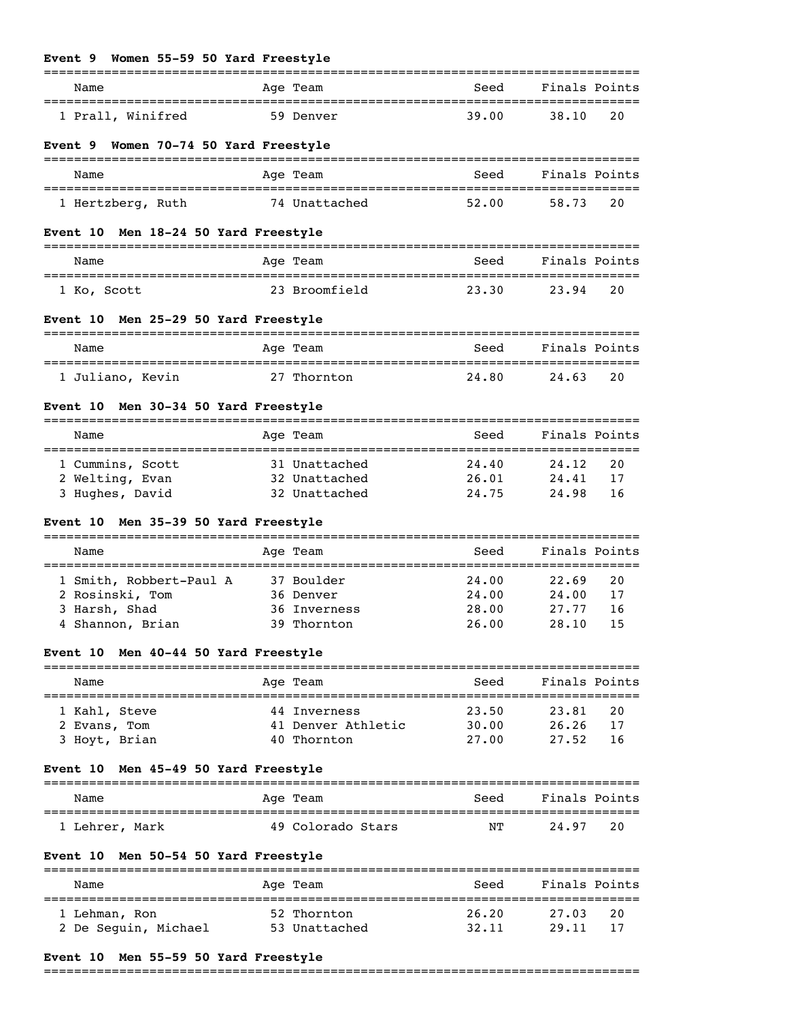| Event 9 Women 55-59 50 Yard Freestyle          |                    |       |               |    |
|------------------------------------------------|--------------------|-------|---------------|----|
| Name                                           | Age Team           | Seed  | Finals Points |    |
| 1 Prall, Winifred                              | 59 Denver          | 39.00 | 38.10         | 20 |
| Event 9 Women 70-74 50 Yard Freestyle          |                    |       |               |    |
| Name                                           | Age Team           | Seed  | Finals Points |    |
| 1 Hertzberg, Ruth                              | 74 Unattached      | 52.00 | 58.73         | 20 |
| Men 18-24 50 Yard Freestyle<br><b>Event 10</b> |                    |       |               |    |
| Name                                           | Age Team           | Seed  | Finals Points |    |
| 1 Ko, Scott                                    | 23 Broomfield      | 23.30 | 23.94         | 20 |
| Event 10 Men 25-29 50 Yard Freestyle           |                    |       |               |    |
| Name                                           | Age Team           | Seed  | Finals Points |    |
| 1 Juliano, Kevin                               | 27 Thornton        | 24.80 | 24.63         | 20 |
| Event 10 Men 30-34 50 Yard Freestyle           |                    |       |               |    |
| Name                                           | Age Team           | Seed  | Finals Points |    |
| 1 Cummins, Scott                               | 31 Unattached      | 24.40 | 24.12         | 20 |
| 2 Welting, Evan                                | 32 Unattached      | 26.01 | 24.41         | 17 |
| 3 Hughes, David                                | 32 Unattached      | 24.75 | 24.98         | 16 |
| Event 10 Men 35-39 50 Yard Freestyle           |                    |       |               |    |
| Name                                           | Age Team           | Seed  | Finals Points |    |
| 1 Smith, Robbert-Paul A                        | 37 Boulder         | 24.00 | 22.69         | 20 |
| 2 Rosinski, Tom                                | 36 Denver          | 24.00 | 24.00         | 17 |
| 3 Harsh, Shad                                  | 36 Inverness       | 28.00 | 27.77         | 16 |
| 4 Shannon, Brian                               | 39 Thornton        | 26.00 | 28.10 15      |    |
| Event 10 Men 40-44 50 Yard Freestyle           |                    |       |               |    |
| Name                                           | Aqe Team           | Seed  | Finals Points |    |
| 1 Kahl, Steve                                  | 44 Inverness       | 23.50 | 23.81         | 20 |
| 2 Evans, Tom                                   | 41 Denver Athletic | 30.00 | 26.26         | 17 |
| 3 Hoyt, Brian                                  | 40 Thornton        | 27.00 | 27.52         | 16 |
| Men 45-49 50 Yard Freestyle<br>Event 10        |                    |       |               |    |
| Name                                           | Age Team           | Seed  | Finals Points |    |
| 1 Lehrer, Mark                                 | 49 Colorado Stars  | NΤ    | 24.97         | 20 |
| Men 50-54 50 Yard Freestyle<br>Event 10        |                    |       |               |    |
| Name                                           | Age Team           | Seed  | Finals Points |    |
| 1 Lehman, Ron                                  | 52 Thornton        | 26.20 | 27.03         | 20 |
| 2 De Seguin, Michael                           | 53 Unattached      | 32.11 | 29.11         | 17 |

# **Event 10 Men 55-59 50 Yard Freestyle**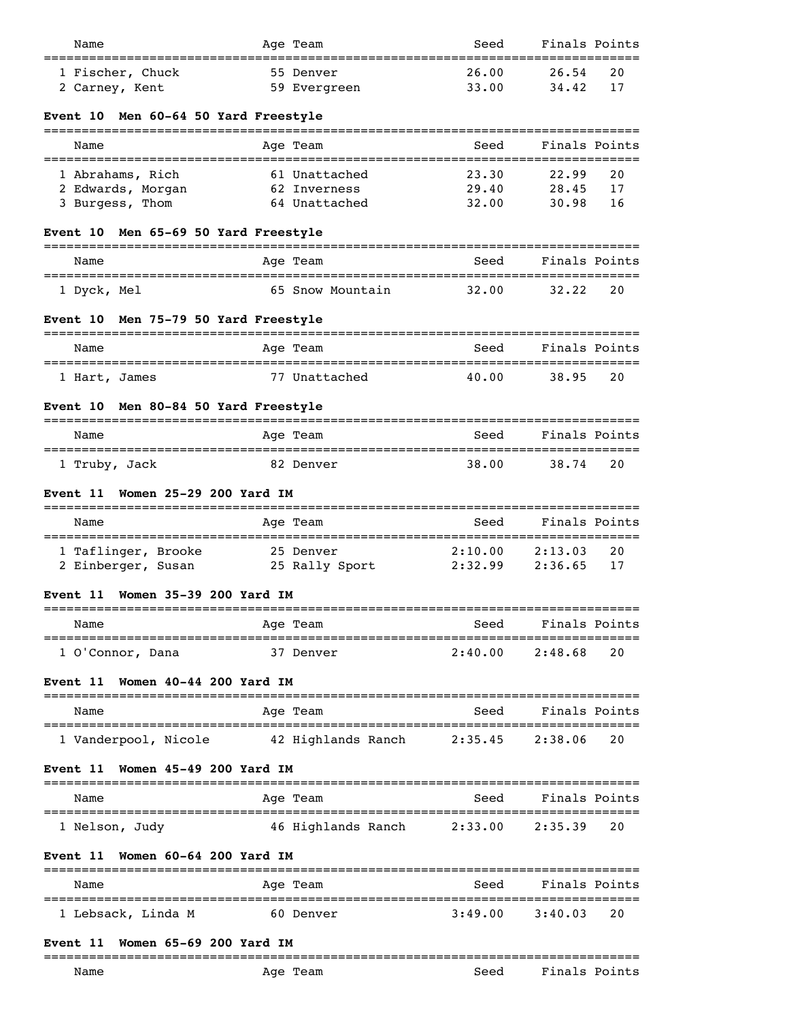| Name                                           | Age Team                           | Seed           | Finals Points      |          |
|------------------------------------------------|------------------------------------|----------------|--------------------|----------|
| 1 Fischer, Chuck                               | 55 Denver                          | 26.00          | 26.54              | 20       |
| 2 Carney, Kent                                 | 59 Evergreen                       | 33.00          | 34.42              | 17       |
| Men 60-64 50 Yard Freestyle<br>Event 10        |                                    |                |                    |          |
| Name                                           | Age Team                           | Seed           | Finals Points      |          |
| 1 Abrahams, Rich                               | 61 Unattached                      | 23.30          | 22.99              | 20       |
| 2 Edwards, Morgan<br>3 Burgess, Thom           | 62 Inverness<br>64 Unattached      | 29.40<br>32.00 | 28.45<br>30.98     | 17<br>16 |
| Men 65-69 50 Yard Freestyle<br>Event 10        |                                    |                |                    |          |
| Name                                           | Age Team                           |                | Seed Finals Points |          |
|                                                | 65 Snow Mountain                   | 32.00          | 32.22              | 20       |
| 1 Dyck, Mel                                    |                                    |                |                    |          |
| Men 75-79 50 Yard Freestyle<br><b>Event</b> 10 |                                    |                |                    |          |
| Name                                           | Age Team                           | Seed           | Finals Points      |          |
| 1 Hart, James                                  | 77 Unattached                      | 40.00          | 38.95              | 20       |
| Men 80-84 50 Yard Freestyle<br><b>Event 10</b> |                                    |                |                    |          |
| Name                                           | Age Team                           | Seed           | Finals Points      |          |
| 1 Truby, Jack                                  | 82 Denver                          | 38.00          | 38.74              | 20       |
| Women 25-29 200 Yard IM<br><b>Event</b> 11     |                                    |                |                    |          |
| Name                                           | Age Team                           | Seed           | Finals Points      |          |
| 1 Taflinger, Brooke                            | 25 Denver                          | 2:10.00        | 2:13.03            | 20       |
| 2 Einberger, Susan 25 Rally Sport 2:32.99      |                                    |                | 2:36.65            | 17       |
| Women 35-39 200 Yard IM<br>Event 11            |                                    |                |                    |          |
| Name                                           | Age Team                           | Seed           | Finals Points      |          |
| 1 O'Connor, Dana                               | 37 Denver                          | 2:40.00        | 2:48.68            | 20       |
| Women 40-44 200 Yard IM<br><b>Event</b> 11     |                                    |                |                    |          |
| Name                                           | Age Team                           | Seed           | Finals Points      |          |
| 1 Vanderpool, Nicole                           | 42 Highlands Ranch                 | 2:35.45        | 2:38.06            | 20       |
| Women 45-49 200 Yard IM<br>Event 11            |                                    |                |                    |          |
| Name                                           | Age Team                           | Seed           | Finals Points      |          |
| 1 Nelson, Judy                                 | 46 Highlands Ranch                 | 2:33.00        | 2:35.39            | 20       |
| Women 60-64 200 Yard IM<br><b>Event</b> 11     |                                    |                |                    |          |
| Name                                           | ======================<br>Age Team | Seed           | Finals Points      |          |
| 1 Lebsack, Linda M                             | 60 Denver                          | 3:49.00        | 3:40.03            | 20       |
| Women 65-69 200 Yard IM<br>Event 11            |                                    |                |                    |          |
|                                                |                                    |                |                    |          |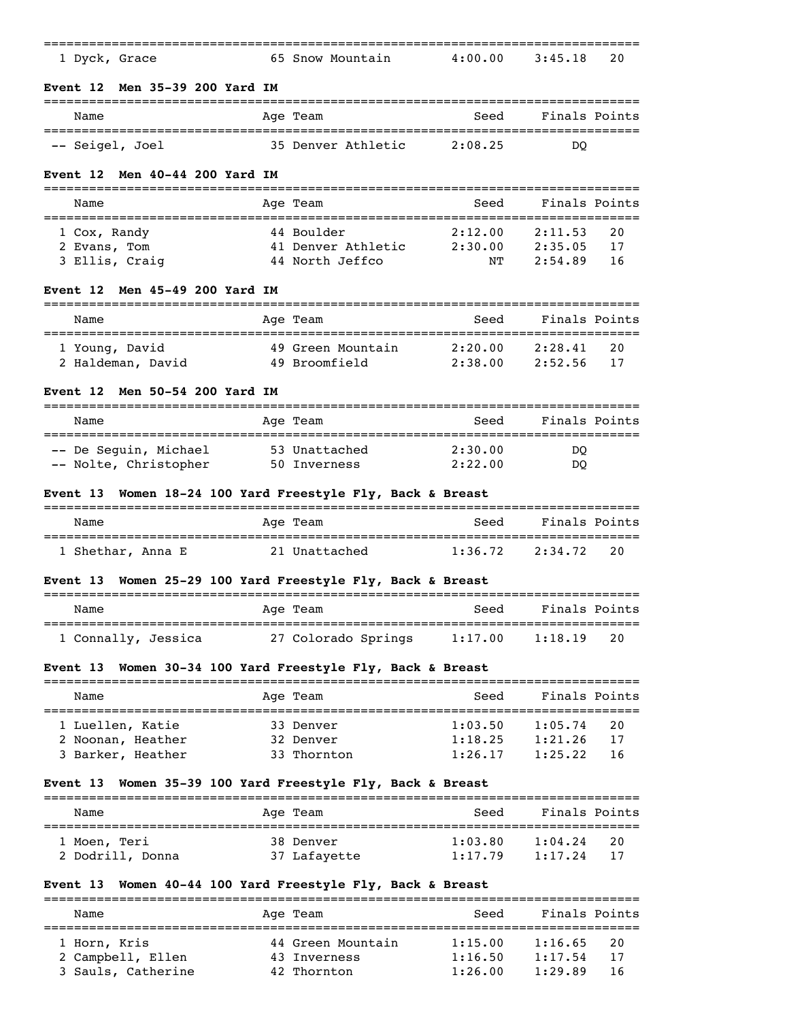| 1 Dyck, Grace                                                          | 65 Snow Mountain                                            | 4:00.00            | 3:45.18                                | 20       |
|------------------------------------------------------------------------|-------------------------------------------------------------|--------------------|----------------------------------------|----------|
| Men 35-39 200 Yard IM<br>Event 12                                      |                                                             |                    |                                        |          |
| Name                                                                   | Age Team                                                    | Seed               | Finals Points                          |          |
| -- Seigel, Joel                                                        | 35 Denver Athletic                                          | 2:08.25            | DO.                                    |          |
| Men 40-44 200 Yard IM<br>Event 12                                      |                                                             |                    |                                        |          |
| Name                                                                   | Age Team                                                    | Seed               | Finals Points                          |          |
| 1 Cox, Randy                                                           | 44 Boulder                                                  | 2:12.00            | 2:11.53                                | 20       |
| 2 Evans, Tom<br>3 Ellis, Craig                                         | 41 Denver Athletic 2:30.00<br>44 North Jeffco               | NΤ                 | 2:35.05<br>2:54.89                     | 17<br>16 |
| Men 45-49 200 Yard IM<br>Event 12                                      |                                                             |                    |                                        |          |
| Name                                                                   | Age Team                                                    | Seed               | Finals Points                          |          |
| 1 Young, David                                                         | -----------<br>49 Green Mountain                            | 2:20.00            | :==========================<br>2:28.41 | 20       |
| 2 Haldeman, David                                                      | 49 Broomfield                                               | 2:38.00            | 2:52.56                                | 17       |
| Men 50-54 200 Yard IM<br>Event 12                                      |                                                             |                    |                                        |          |
| Name                                                                   | Age Team                                                    | Seed               | Finals Points                          |          |
| -- De Seguin, Michael                                                  | 53 Unattached                                               | 2:30.00            | <sub>DO</sub>                          |          |
|                                                                        | 50 Inverness                                                | 2:22.00            | DO.                                    |          |
| -- Nolte, Christopher                                                  |                                                             |                    |                                        |          |
|                                                                        | Women 18-24 100 Yard Freestyle Fly, Back & Breast           |                    |                                        |          |
| Name                                                                   | Age Team                                                    | Seed               | Finals Points                          |          |
| 1 Shethar, Anna E                                                      | 21 Unattached                                               | 1:36.72            | 2:34.72                                | 20       |
|                                                                        | Women 25-29 100 Yard Freestyle Fly, Back & Breast           |                    |                                        |          |
| Name                                                                   | Age Team                                                    | Seed               | Finals Points                          |          |
| :===================                                                   | 1 Connally, Jessica and 27 Colorado Springs 1:17.00 1:18.19 | ----------         |                                        | 20       |
|                                                                        | Women 30-34 100 Yard Freestyle Fly, Back & Breast           |                    |                                        |          |
| Name                                                                   | Age Team                                                    | Seed               | Finals Points                          |          |
| 1 Luellen, Katie                                                       | 33 Denver                                                   | 1:03.50            | ==================<br>1:05.74          | 20       |
| 2 Noonan, Heather<br>3 Barker, Heather                                 | 32 Denver<br>33 Thornton                                    | 1:18.25<br>1:26.17 | 1:21.26<br>1:25.22                     | 17<br>16 |
|                                                                        | Women 35-39 100 Yard Freestyle Fly, Back & Breast           |                    |                                        |          |
| Name                                                                   | Age Team                                                    | Seed               | Finals Points                          |          |
| 1 Moen, Teri                                                           | 38 Denver                                                   | 1:03.80            | 1:04.24                                | 20       |
| 2 Dodrill, Donna                                                       | 37 Lafayette                                                | 1:17.79            | 1:17.24                                | 17       |
| <b>Event 13</b><br>Event 13<br>Event 13<br>Event 13<br><b>Event 13</b> | Women 40-44 100 Yard Freestyle Fly, Back & Breast           |                    |                                        |          |
| Name                                                                   | Age Team                                                    | Seed<br>---------  | Finals Points                          |          |
| 1 Horn, Kris<br>2 Campbell, Ellen                                      | 44 Green Mountain<br>43 Inverness                           | 1:15.00<br>1:16.50 | 1:16.65<br>1:17.54                     | 20<br>17 |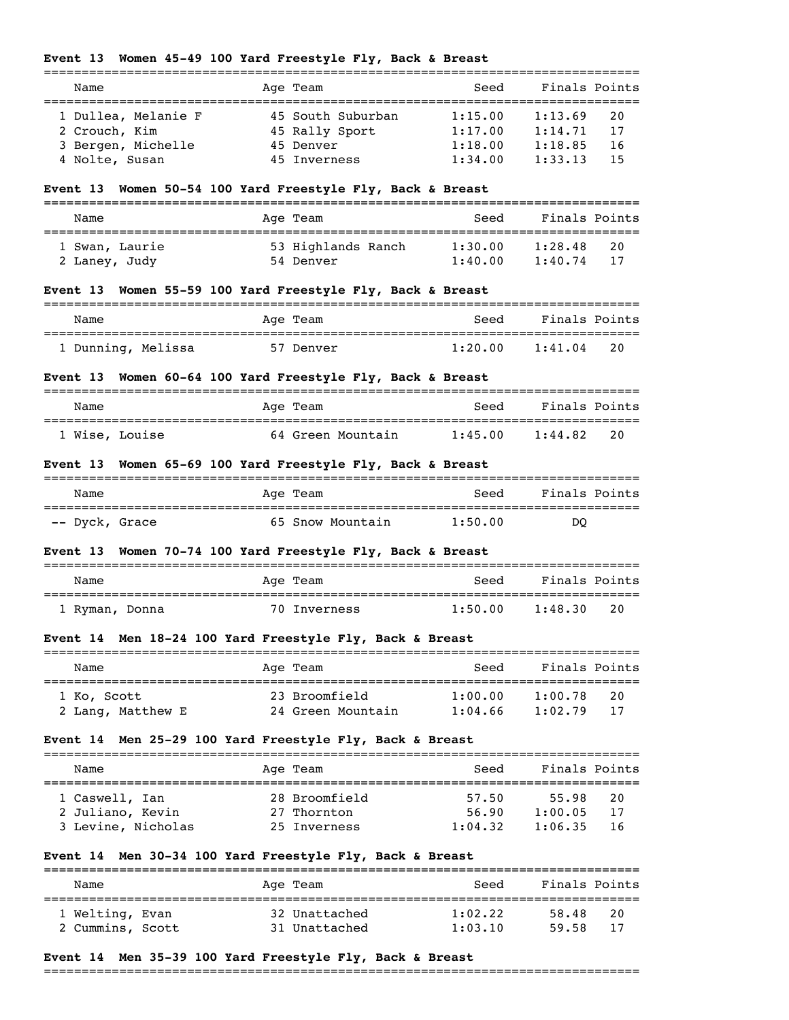## **Event 13 Women 45-49 100 Yard Freestyle Fly, Back & Breast**

| Name                | Age Team          | Seed    | Finals Points |
|---------------------|-------------------|---------|---------------|
|                     |                   |         |               |
| 1 Dullea, Melanie F | 45 South Suburban | 1:15.00 | 1:13.69<br>20 |
| 2 Crouch, Kim       | 45 Rally Sport    | 1:17.00 | 1:14.71<br>17 |
| 3 Bergen, Michelle  | 45 Denver         | 1:18.00 | 1:18.85<br>16 |
| 4 Nolte, Susan      | 45 Inverness      | 1:34.00 | 1:33.13<br>15 |

## **Event 13 Women 50-54 100 Yard Freestyle Fly, Back & Breast**

| Name                            | Age Team                        | Seed               | Finals Points                    |
|---------------------------------|---------------------------------|--------------------|----------------------------------|
| 1 Swan, Laurie<br>2 Laney, Judy | 53 Highlands Ranch<br>54 Denver | 1:30.00<br>1:40.00 | 1:28.48<br>-20<br>1:40.74<br>-17 |

# **Event 13 Women 55-59 100 Yard Freestyle Fly, Back & Breast**

| Name               | Age Team  | Finals Points<br>Seed    |
|--------------------|-----------|--------------------------|
| . Dunning, Melissa | 57 Denver | 20<br>1:20.00<br>1:41.04 |

## **Event 13 Women 60-64 100 Yard Freestyle Fly, Back & Breast**

| Name           | Age Team          | Seed    | Finals Points |
|----------------|-------------------|---------|---------------|
| 1 Wise, Louise | 64 Green Mountain | 1:45.00 | 20<br>1:44.82 |

## **Event 13 Women 65-69 100 Yard Freestyle Fly, Back & Breast**

| Name           | Age Team         | Seed    | Finals Points |
|----------------|------------------|---------|---------------|
|                |                  |         |               |
| -- Dyck, Grace | 65 Snow Mountain | 1:50.00 | DO            |

# **Event 13 Women 70-74 100 Yard Freestyle Fly, Back & Breast**

| Name           | Age Team     | Seed    | Finals Points |
|----------------|--------------|---------|---------------|
| 1 Ryman, Donna | 70 Inverness | 1:50.00 | 20<br>1:48.30 |

## **Event 14 Men 18-24 100 Yard Freestyle Fly, Back & Breast**

| Name              | Age Team          | Seed    | Finals Points  |  |
|-------------------|-------------------|---------|----------------|--|
| 1 Ko, Scott       | 23 Broomfield     | 1:00.00 | 1:00.78<br>20  |  |
| 2 Lang, Matthew E | 24 Green Mountain | 1:04.66 | 1:02.79<br>-17 |  |

## **Event 14 Men 25-29 100 Yard Freestyle Fly, Back & Breast**

| Name               | Age Team      | Seed    | Finals Points |  |
|--------------------|---------------|---------|---------------|--|
| 1 Caswell, Ian     | 28 Broomfield | 57.50   | 55.98<br>20   |  |
| 2 Juliano, Kevin   | 27 Thornton   | 56.90   | 1:00.05<br>17 |  |
| 3 Levine, Nicholas | 25 Inverness  | 1:04.32 | 1:06.35<br>16 |  |

## **Event 14 Men 30-34 100 Yard Freestyle Fly, Back & Breast**

| Name                                |  | Age Team                       | Seed               | Finals Points  |           |
|-------------------------------------|--|--------------------------------|--------------------|----------------|-----------|
| 1 Welting, Evan<br>2 Cummins, Scott |  | 32 Unattached<br>31 Unattached | 1:02.22<br>1:03.10 | 58.48<br>59.58 | 20<br>-17 |

#### **Event 14 Men 35-39 100 Yard Freestyle Fly, Back & Breast**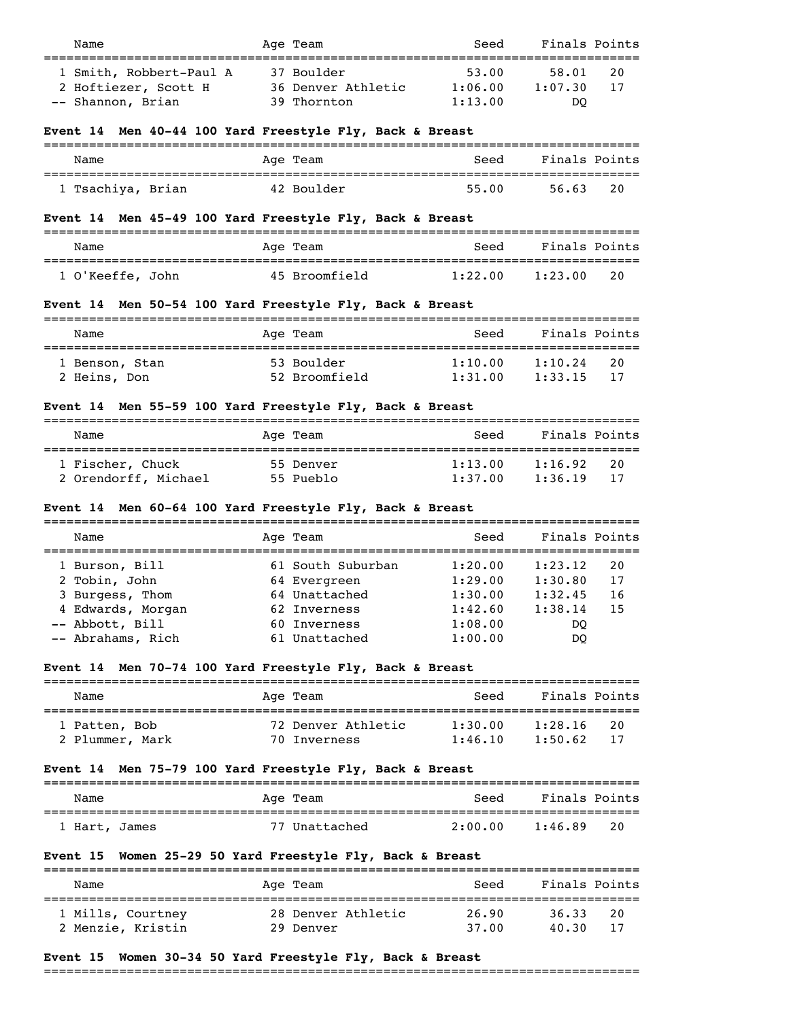| Name<br>======                                                       | Age Team<br>===============                                | Seed                        | Finals Points                              |
|----------------------------------------------------------------------|------------------------------------------------------------|-----------------------------|--------------------------------------------|
| 1 Smith, Robbert-Paul A<br>2 Hoftiezer, Scott H<br>-- Shannon, Brian | 37 Boulder<br>36 Denver Athletic<br>39 Thornton            | 53.00<br>1:06.00<br>1:13.00 | 58.01<br>20<br>1:07.30<br>17<br>DO.        |
| Event 14 Men 40-44 100 Yard Freestyle Fly, Back & Breast             |                                                            |                             |                                            |
| Name                                                                 | Age Team                                                   | Seed                        | Finals Points                              |
| 1 Tsachiya, Brian                                                    | 42 Boulder                                                 | 55.00                       | 56.63<br>20                                |
| Event 14 Men 45-49 100 Yard Freestyle Fly, Back & Breast             |                                                            |                             |                                            |
| Name                                                                 | Age Team                                                   | Seed                        | Finals Points                              |
| 1 O'Keeffe, John                                                     | 45 Broomfield                                              | 1:22.00                     | 1:23.00<br>20                              |
| Event 14 Men 50-54 100 Yard Freestyle Fly, Back & Breast             |                                                            |                             |                                            |
| Name                                                                 | Age Team                                                   |                             | Seed Finals Points                         |
| 1 Benson, Stan<br>2 Heins, Don                                       | 53 Boulder<br>52 Broomfield                                | 1:10.00<br>1:31.00          | 1:10.24<br>20<br>1:33.15<br>17             |
| Event 14 Men 55-59 100 Yard Freestyle Fly, Back & Breast             |                                                            |                             |                                            |
| Name                                                                 | Age Team                                                   | Seed                        | Finals Points                              |
| 1 Fischer, Chuck<br>2 Orendorff, Michael                             | 55 Denver<br>55 Pueblo                                     | 1:13.00                     | 1:16.92<br>20<br>$1:37.00$ $1:36.19$<br>17 |
| Event 14 Men 60-64 100 Yard Freestyle Fly, Back & Breast             |                                                            |                             |                                            |
| Name                                                                 | Age Team                                                   | Seed                        | Finals Points                              |
| 1 Burson, Bill                                                       | 61 South Suburban $1:20.00$<br>$64$ Francesco              |                             | 20<br>1:23.12                              |
| 2 Tobin, John                                                        | 64 Evergreen                                               | 1:29.00                     | 1:30.80<br>17                              |
| 3 Burgess, Thom                                                      | 64 Unattached                                              | 1:30.00                     | 1:32.45<br>16                              |
| 4 Edwards, Morgan                                                    | 62 Inverness                                               |                             | $1:42.60$ $1:38.14$ 15                     |
| -- Abbott, Bill                                                      | 60 Inverness                                               | 1:08.00                     | DQ                                         |
| -- Abrahams, Rich                                                    | 61 Unattached                                              | 1:00.00                     | DQ                                         |
| Event 14 Men 70-74 100 Yard Freestyle Fly, Back & Breast             |                                                            |                             |                                            |
| Name                                                                 | Age Team                                                   | Seed                        | Finals Points                              |
| 1 Patten, Bob<br>2 Plummer, Mark                                     | 72 Denver Athletic 1:30.00 1:28.16<br>70 Inverness 1:46.10 |                             | 20<br>1:50.62<br>17                        |
| Event 14 Men 75-79 100 Yard Freestyle Fly, Back & Breast             |                                                            |                             |                                            |
| Name                                                                 | Age Team                                                   | Seed                        | Finals Points                              |
|                                                                      |                                                            |                             |                                            |
| 1 Hart, James                                                        | 77 Unattached                                              | 2:00.00                     | 1:46.89<br>20                              |
| Event 15 Women 25-29 50 Yard Freestyle Fly, Back & Breast            |                                                            |                             |                                            |
| Name                                                                 | Age Team                                                   | Seed                        | Finals Points                              |
|                                                                      | 1 Mills, Courtney 28 Denver Athletic 26.90                 |                             | 36.33<br>20                                |

# **Event 15 Women 30-34 50 Yard Freestyle Fly, Back & Breast**

===============================================================================

2 Menzie, Kristin 29 Denver 37.00 40.30 17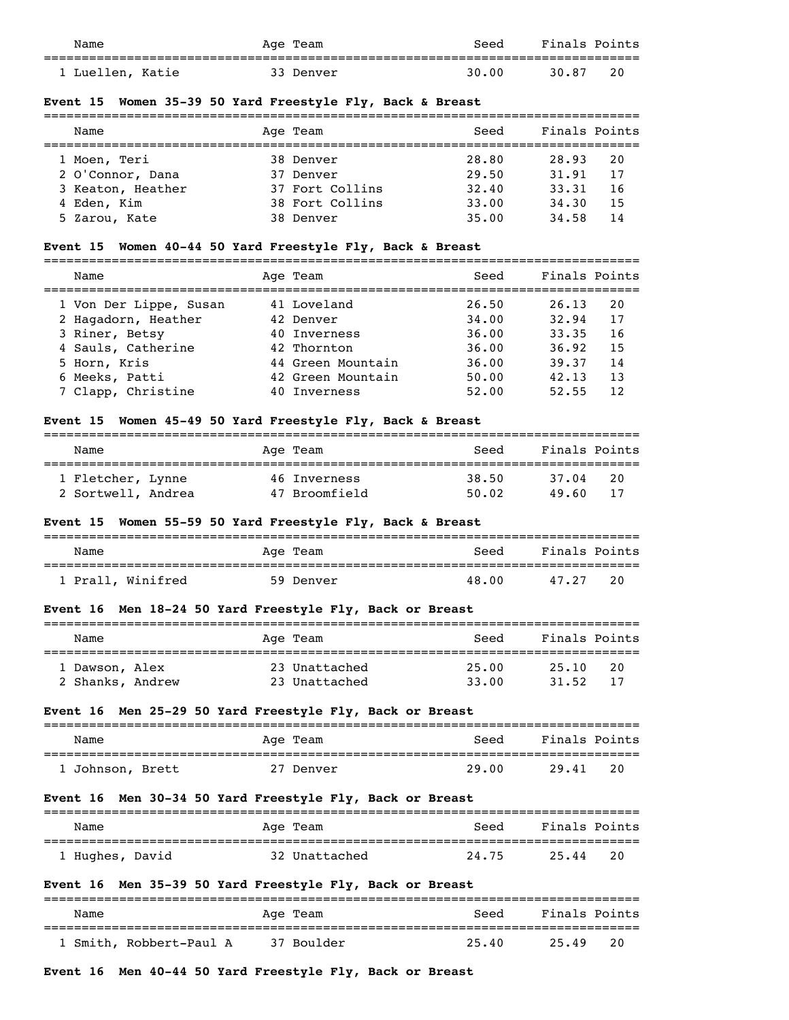| Name             | Age Team  | Seed  | Finals Points |  |
|------------------|-----------|-------|---------------|--|
| 1 Luellen, Katie | 33 Denver | 30.00 | 20<br>30.87   |  |
|                  |           |       |               |  |

## **Event 15 Women 35-39 50 Yard Freestyle Fly, Back & Breast**

| Name              | Age Team        | Seed  | Finals Points |    |
|-------------------|-----------------|-------|---------------|----|
| 1 Moen, Teri      | 38 Denver       | 28.80 | 28.93         | 20 |
| 2 O'Connor, Dana  | 37 Denver       | 29.50 | 31.91         | 17 |
| 3 Keaton, Heather | 37 Fort Collins | 32.40 | 33.31         | 16 |
| 4 Eden, Kim       | 38 Fort Collins | 33.00 | 34,30         | 15 |
| 5 Zarou, Kate     | 38 Denver       | 35.00 | 34.58         | 14 |

# **Event 15 Women 40-44 50 Yard Freestyle Fly, Back & Breast**

| Name                                                                                                  | Age Team                                                                     | Seed                                      | Finals Points                                                           |
|-------------------------------------------------------------------------------------------------------|------------------------------------------------------------------------------|-------------------------------------------|-------------------------------------------------------------------------|
| 1 Von Der Lippe, Susan<br>2 Hagadorn, Heather<br>3 Riner, Betsy<br>4 Sauls, Catherine<br>5 Horn, Kris | 41 Loveland<br>42 Denver<br>40 Inverness<br>42 Thornton<br>44 Green Mountain | 26.50<br>34.00<br>36.00<br>36.00<br>36.00 | 26.13<br>20<br>17<br>32.94<br>33.35<br>16<br>15<br>36.92<br>39.37<br>14 |
| 6 Meeks, Patti<br>7 Clapp, Christine                                                                  | 42 Green Mountain<br>40 Inverness                                            | 50.00<br>52.00                            | 13<br>42.13<br>12.<br>52.55                                             |

## **Event 15 Women 45-49 50 Yard Freestyle Fly, Back & Breast**

| Name               | Age Team      | Seed  | Finals Points |
|--------------------|---------------|-------|---------------|
|                    |               |       |               |
| 1 Fletcher, Lynne  | 46 Inverness  | 38.50 | 37.04<br>20   |
| 2 Sortwell, Andrea | 47 Broomfield | 50.02 | 49.60<br>-17  |

## **Event 15 Women 55-59 50 Yard Freestyle Fly, Back & Breast**

| Name              | Age Team  | Seed  | Finals Points |
|-------------------|-----------|-------|---------------|
| 1 Prall, Winifred | 59 Denver | 48.00 | 20<br>47.27   |

# **Event 16 Men 18-24 50 Yard Freestyle Fly, Back or Breast**

| Name             | Age Team      | Seed  | Finals Points |
|------------------|---------------|-------|---------------|
| 1 Dawson, Alex   | 23 Unattached | 25.00 | 20<br>25.10   |
| 2 Shanks, Andrew | 23 Unattached | 33.00 | 17<br>31.52   |

# **Event 16 Men 25-29 50 Yard Freestyle Fly, Back or Breast**

| Name             | Age Team  | Seed  | Finals Points |
|------------------|-----------|-------|---------------|
| 1 Johnson, Brett | 27 Denver | 29.00 | 20<br>29.41   |

# **Event 16 Men 30-34 50 Yard Freestyle Fly, Back or Breast**

| Name            | Aqe Team      | Seed  | Finals Points |  |
|-----------------|---------------|-------|---------------|--|
|                 |               |       |               |  |
| 1 Hughes, David | 32 Unattached | 24.75 | 20<br>25.44   |  |

# **Event 16 Men 35-39 50 Yard Freestyle Fly, Back or Breast**

| Name                    | Age Team   | Seed  | Finals Points |
|-------------------------|------------|-------|---------------|
| 1 Smith, Robbert-Paul A | 37 Boulder | 25.40 | 20<br>25.49   |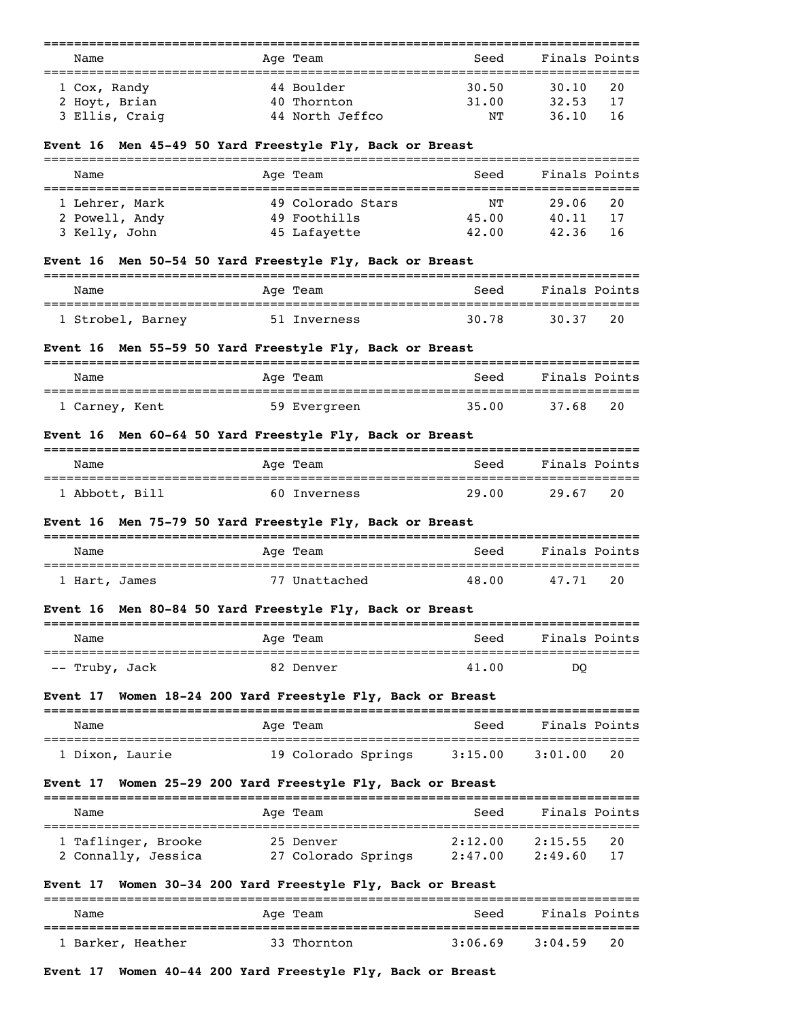| Name                          | Age Team                                                                          | Seed           | Finals Points              |
|-------------------------------|-----------------------------------------------------------------------------------|----------------|----------------------------|
| 1 Cox, Randy<br>2 Hoyt, Brian | 44 Boulder<br>40 Thornton                                                         | 30.50<br>31.00 | 30.10<br>20<br>17<br>32.53 |
| 3 Ellis, Craig                | 44 North Jeffco                                                                   | NΤ             | 36.10<br>16                |
|                               | - 그 그는 다른 아주 그 지도 지을 보는 모습 때 그 다 보니 그 그는 다 보니 그 그 그 그 그 그 그 그 그 그 그 그 그 그 그 그 그 그 |                |                            |

#### **Event 16 Men 45-49 50 Yard Freestyle Fly, Back or Breast**

| Name                             | Age Team                          | Seed        | Finals Points               |  |
|----------------------------------|-----------------------------------|-------------|-----------------------------|--|
| 1 Lehrer, Mark<br>2 Powell, Andy | 49 Colorado Stars<br>49 Foothills | NΤ<br>45.00 | 29.06<br>20<br>-17<br>40.11 |  |
| 3 Kelly, John                    | 45 Lafayette                      | 42.00       | 42.36<br>-16                |  |

# **Event 16 Men 50-54 50 Yard Freestyle Fly, Back or Breast**

| Name              | Age Team     | Seed  | Finals Points |  |
|-------------------|--------------|-------|---------------|--|
| 1 Strobel, Barney | 51 Inverness | 30.78 | 20<br>30.37   |  |

## **Event 16 Men 55-59 50 Yard Freestyle Fly, Back or Breast**

| Name           | Age Team     | Seed  | Finals Points |
|----------------|--------------|-------|---------------|
| 1 Carney, Kent | 59 Evergreen | 35.00 | 20<br>37.68   |

## **Event 16 Men 60-64 50 Yard Freestyle Fly, Back or Breast**

| Name           | Age Team     | Seed  | Finals Points |  |
|----------------|--------------|-------|---------------|--|
| ' Abbott, Bill | 60 Inverness | 29.00 | 20<br>29.67   |  |

## **Event 16 Men 75-79 50 Yard Freestyle Fly, Back or Breast**

| Name          | Age Team      | Seed  | Finals Points |
|---------------|---------------|-------|---------------|
| 1 Hart, James | 77 Unattached | 48.00 | 20<br>47.71   |

# **Event 16 Men 80-84 50 Yard Freestyle Fly, Back or Breast**

| Name           | Age Team  | Seed  | Finals Points |
|----------------|-----------|-------|---------------|
| -- Truby, Jack | 82 Denver | 41.00 | DO            |

## **Event 17 Women 18-24 200 Yard Freestyle Fly, Back or Breast**

| Name            | Age Team            | Seed    | Finals Points   |
|-----------------|---------------------|---------|-----------------|
| 1 Dixon, Laurie | 19 Colorado Springs | 3:15.00 | - 20<br>3:01.00 |

# **Event 17 Women 25-29 200 Yard Freestyle Fly, Back or Breast**

| Name                                       | Age Team                         | Seed               | Finals Points                  |
|--------------------------------------------|----------------------------------|--------------------|--------------------------------|
| 1 Taflinger, Brooke<br>2 Connally, Jessica | 25 Denver<br>27 Colorado Springs | 2:12.00<br>2:47.00 | 2:15.55<br>20<br>2:49.60<br>17 |

# **Event 17 Women 30-34 200 Yard Freestyle Fly, Back or Breast**

| Name              | Age Team    | Seed    | Finals Points |
|-------------------|-------------|---------|---------------|
| 1 Barker, Heather | 33 Thornton | 3:06.69 | 20<br>3:04.59 |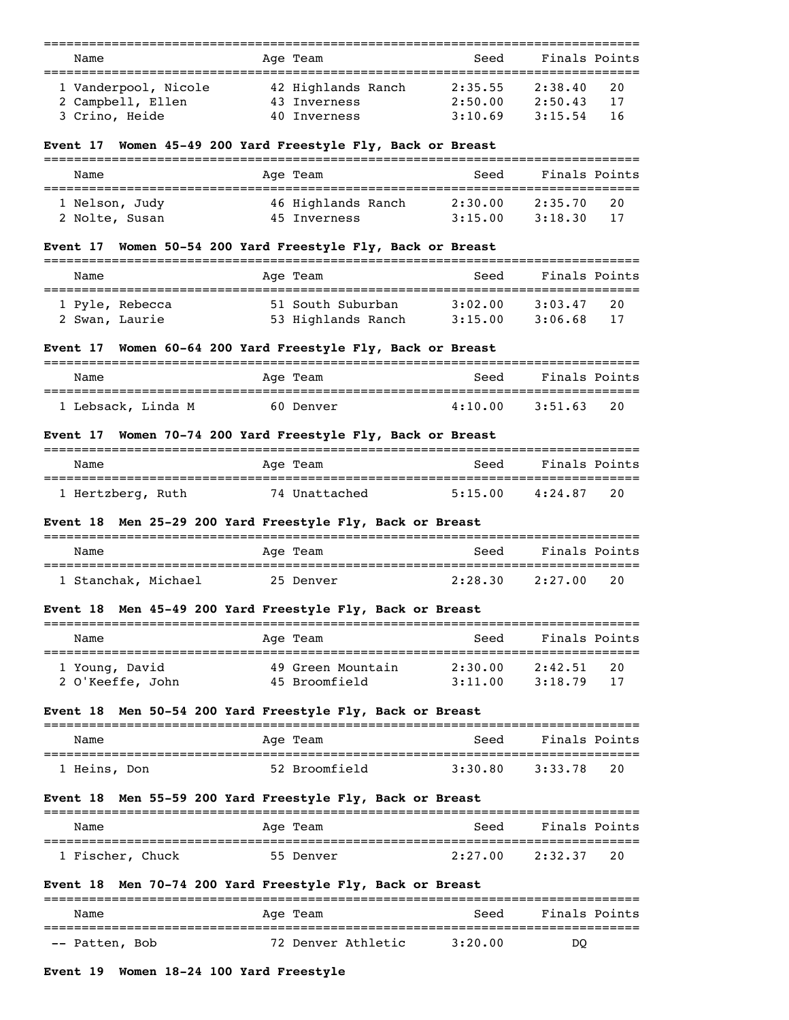| Name<br>___________<br>========================                   | Age Team                                           | Seed                                          | Finals Points                                                        |
|-------------------------------------------------------------------|----------------------------------------------------|-----------------------------------------------|----------------------------------------------------------------------|
| 1 Vanderpool, Nicole<br>2 Campbell, Ellen<br>3 Crino, Heide       | 42 Highlands Ranch<br>43 Inverness<br>40 Inverness | 2:35.55<br>2:50.00<br>3:10.69                 | =================<br>2:38.40<br>20<br>2:50.43<br>17<br>3:15.54<br>16 |
| Event 17 Women 45-49 200 Yard Freestyle Fly, Back or Breast       |                                                    |                                               |                                                                      |
| Name                                                              | Age Team                                           | Seed                                          | Finals Points                                                        |
| 1 Nelson, Judy<br>2 Nolte, Susan                                  | 46 Highlands Ranch<br>45 Inverness                 | 2:30.00<br>3:15.00                            | 2:35.70<br>20<br>3:18.30<br>17                                       |
| Event 17  Women 50-54 200 Yard Freestyle Fly, Back or Breast      |                                                    |                                               |                                                                      |
| Name                                                              | Age Team                                           | Seed                                          | Finals Points                                                        |
| 1 Pyle, Rebecca<br>2 Swan, Laurie                                 | 51 South Suburban<br>53 Highlands Ranch 3:15.00    | 3:02.00                                       | 3:03.47<br>20<br>3:06.68<br>17                                       |
| Event 17 Women 60–64 200 Yard Freestyle Fly, Back or Breast       |                                                    |                                               |                                                                      |
| Name                                                              | Age Team                                           | Seed                                          | Finals Points                                                        |
| 1 Lebsack, Linda M                                                | 60 Denver                                          | 4:10.00                                       | 3:51.63<br>20                                                        |
| Event 17  Women 70–74 200 Yard Freestyle Fly, Back or Breast      |                                                    |                                               |                                                                      |
| Name                                                              | Age Team                                           | Seed                                          | Finals Points                                                        |
| =================================<br>1 Hertzberg, Ruth            | 74 Unattached                                      | ==================================<br>5:15.00 | 4:24.87<br>20                                                        |
| <b>Event 18  Men 25–29 200 Yard Freestyle Fly, Back or Breast</b> |                                                    |                                               |                                                                      |
| Name                                                              | Age Team                                           | Seed                                          | Finals Points                                                        |
| =====================================<br>1 Stanchak, Michael      | 25 Denver                                          | 2:28.30                                       | ===========================<br>2:27.00<br>20                         |
| <b>Event 18 Men 45-49 200 Yard Freestyle Fly, Back or Breast</b>  |                                                    |                                               |                                                                      |
| Name<br>=====================================                     | Age Team                                           | Seed                                          | Finals Points                                                        |
| 1 Young, David<br>2 O'Keeffe, John                                | 49 Green Mountain<br>45 Broomfield                 | 2:30.00<br>3:11.00                            | 2:42.51<br>20<br>17<br>3:18.79                                       |
| Event 18 Men 50-54 200 Yard Freestyle Fly, Back or Breast         |                                                    |                                               |                                                                      |
| Name                                                              | Age Team                                           | Seed                                          | Finals Points                                                        |
| 1 Heins, Don                                                      | 52 Broomfield                                      | 3:30.80                                       | 3:33.78<br>20                                                        |
| Event 18  Men 55-59 200 Yard Freestyle Fly, Back or Breast        |                                                    |                                               |                                                                      |
| Name<br>=================================                         | Age Team                                           | Seed<br>:=====================                | Finals Points                                                        |
| 1 Fischer, Chuck                                                  | 55 Denver                                          | 2:27.00                                       | 2:32.37<br>20                                                        |
| <b>Event 18  Men 70–74 200 Yard Freestyle Fly, Back or Breast</b> | ======================                             |                                               |                                                                      |
| Name                                                              | Age Team                                           | Seed                                          | Finals Points                                                        |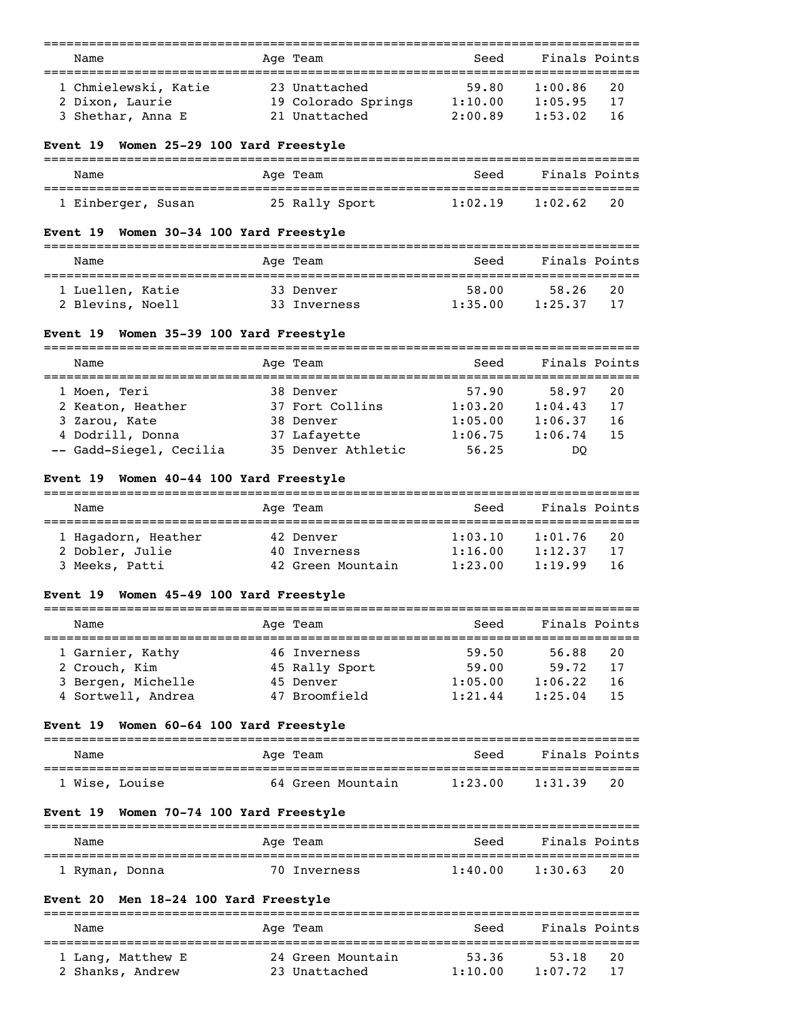| Name                                                       |           | Age Team                    | Seed    | Finals Points |    |
|------------------------------------------------------------|-----------|-----------------------------|---------|---------------|----|
| ==================================<br>1 Chmielewski, Katie |           | 23 Unattached               | 59.80   | 1:00.86       | 20 |
| 2 Dixon, Laurie                                            |           | 19 Colorado Springs 1:10.00 |         | 1:05.95       | 17 |
|                                                            |           |                             |         |               |    |
| 3 Shethar, Anna E                                          |           | 21 Unattached               | 2:00.89 | 1:53.02       | 16 |
| Event 19 Women 25-29 100 Yard Freestyle                    |           |                             |         |               |    |
| Name                                                       |           | Age Team                    | Seed    | Finals Points |    |
| 1 Einberger, Susan                                         |           | 25 Rally Sport              | 1:02.19 | 1:02.62       | 20 |
| Event 19 Women 30-34 100 Yard Freestyle                    |           |                             |         |               |    |
| Name                                                       |           | Age Team                    | Seed    | Finals Points |    |
| 1 Luellen, Katie                                           | 33 Denver |                             | 58.00   | 58.26         | 20 |
| 2 Blevins, Noell                                           |           | 33 Inverness 1:35.00        |         | 1:25.37       | 17 |
| Event 19 Women 35-39 100 Yard Freestyle                    |           |                             |         |               |    |
| ---------------------------------                          |           |                             |         |               |    |
| Name                                                       |           | Age Team                    | Seed    | Finals Points |    |
| 1 Moen, Teri                                               |           | 38 Denver                   | 57.90   | 58.97         | 20 |
| 2 Keaton, Heather                                          |           | 37 Fort Collins 1:03.20     |         | 1:04.43       | 17 |
| 3 Zarou, Kate                                              |           | 38 Denver                   | 1:05.00 | 1:06.37       | 16 |
| 4 Dodrill, Donna                                           |           | 37 Lafayette                | 1:06.75 | 1:06.74       | 15 |
| -- Gadd-Siegel, Cecilia 35 Denver Athletic                 |           |                             | 56.25   | DQ            |    |
| Event 19 Women 40-44 100 Yard Freestyle                    |           |                             |         |               |    |
| Name                                                       |           | Age Team                    | Seed    | Finals Points |    |
| 1 Hagadorn, Heather                                        | 42 Denver |                             | 1:03.10 | 1:01.76       | 20 |
| 2 Dobler, Julie                                            |           | 40 Inverness                | 1:16.00 | 1:12.37       | 17 |
| 3 Meeks, Patti                                             |           | 42 Green Mountain           | 1:23.00 | 1:19.99       | 16 |
| Event 19 Women 45-49 100 Yard Freestyle                    |           |                             |         |               |    |
| ==================================<br>Name                 |           | Age Team                    | Seed    | Finals Points |    |
| 1 Garnier, Kathy                                           |           | 46 Inverness                | 59.50   | 56.88         | 20 |
| 2 Crouch, Kim                                              |           | 45 Rally Sport              | 59.00   | 59.72         | 17 |
| 3 Bergen, Michelle                                         |           | 45 Denver                   | 1:05.00 | 1:06.22       | 16 |
| 4 Sortwell, Andrea                                         |           | 47 Broomfield               | 1:21.44 | 1:25.04       | 15 |
| Event 19 Women 60-64 100 Yard Freestyle                    |           |                             |         |               |    |
| Name                                                       |           | Age Team                    | Seed    | Finals Points |    |
| 1 Wise, Louise                                             |           | 64 Green Mountain           | 1:23.00 | 1:31.39       | 20 |
| Event 19 Women 70-74 100 Yard Freestyle                    |           |                             |         |               |    |
| Name                                                       |           | Age Team                    | Seed    | Finals Points |    |
| 1 Ryman, Donna                                             |           | 70 Inverness                | 1:40.00 | 1:30.63       | 20 |
| Event 20 Men 18-24 100 Yard Freestyle                      |           |                             |         |               |    |
| Name                                                       |           | Age Team                    | Seed    | Finals Points |    |
|                                                            |           |                             |         |               |    |
| 1 Lang, Matthew E                                          |           | 24 Green Mountain           | 53.36   | 53.18         | 20 |
| 2 Shanks, Andrew                                           |           | 23 Unattached               | 1:10.00 | 1:07.72       | 17 |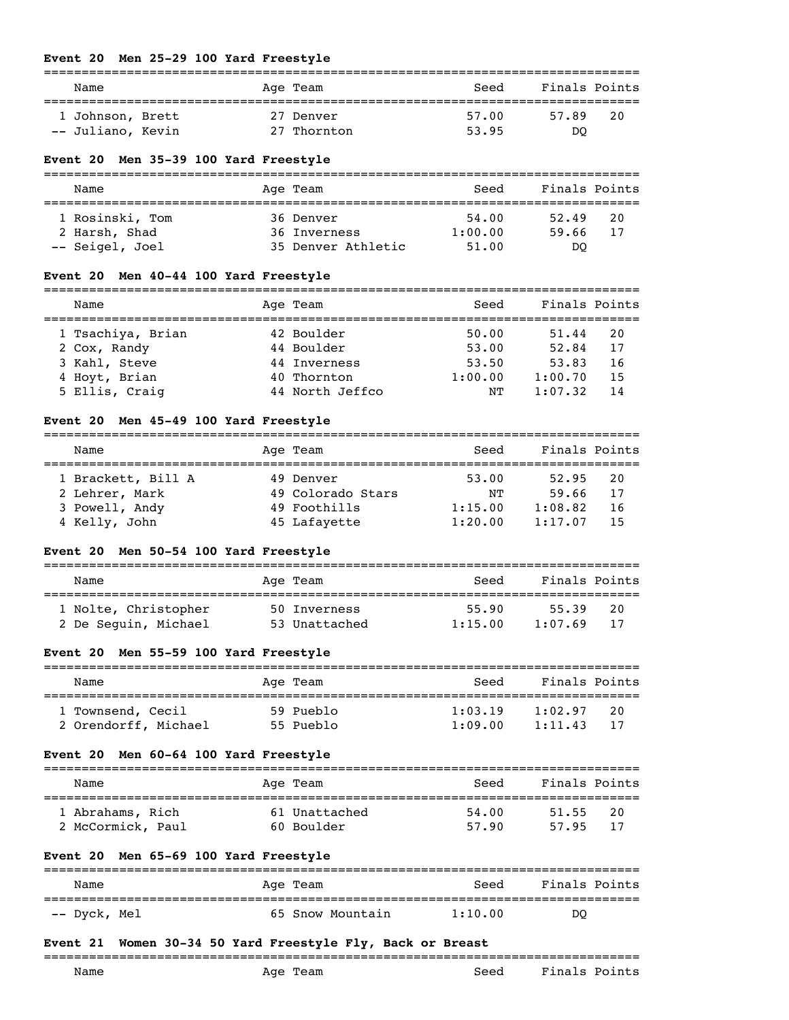## **Event 20 Men 25-29 100 Yard Freestyle**

| Name              | Age Team    | Seed  | Finals Points |
|-------------------|-------------|-------|---------------|
| 1 Johnson, Brett  | 27 Denver   | 57.00 | 57.89<br>20   |
| -- Juliano, Kevin | 27 Thornton | 53.95 | DO            |

## **Event 20 Men 35-39 100 Yard Freestyle**

| Name            | Age Team           | Seed    | Finals Points |
|-----------------|--------------------|---------|---------------|
| 1 Rosinski, Tom | 36 Denver          | 54.00   | 20<br>52.49   |
| 2 Harsh, Shad   | 36 Inverness       | 1:00.00 | 59.66<br>17   |
| -- Seigel, Joel | 35 Denver Athletic | 51.00   | DO            |

# **Event 20 Men 40-44 100 Yard Freestyle**

| Name              | Age Team        | Seed    | Finals Points |    |
|-------------------|-----------------|---------|---------------|----|
| 1 Tsachiya, Brian | 42 Boulder      | 50.00   | 51.44         | 20 |
| 2 Cox, Randy      | 44 Boulder      | 53.00   | 52.84         | 17 |
| 3 Kahl, Steve     | 44 Inverness    | 53.50   | 53.83         | 16 |
| 4 Hoyt, Brian     | 40 Thornton     | 1:00.00 | 1:00.70       | 15 |
| 5 Ellis, Craig    | 44 North Jeffco | NΤ      | 1:07.32       | 14 |

# **Event 20 Men 45-49 100 Yard Freestyle**

## =============================================================================== Name Mage Team Age Team Seed Finals Points

| 1 Brackett, Bill A | 49 Denver         | 53.00   | 52.95   | 20 |
|--------------------|-------------------|---------|---------|----|
| 2 Lehrer, Mark     | 49 Colorado Stars | NΤ      | 59.66   | 17 |
| 3 Powell, Andy     | 49 Foothills      | 1:15.00 | 1:08.82 | 16 |
| 4 Kelly, John      | 45 Lafayette      | 1:20.00 | 1:17.07 | 15 |

# **Event 20 Men 50-54 100 Yard Freestyle**

| Name                                         | Age Team                      | Seed             | Finals Points    |           |
|----------------------------------------------|-------------------------------|------------------|------------------|-----------|
| 1 Nolte, Christopher<br>2 De Seguin, Michael | 50 Inverness<br>53 Unattached | 55.90<br>1:15.00 | 55.39<br>1:07.69 | 20<br>-17 |

# **Event 20 Men 55-59 100 Yard Freestyle**

| Name                 | Age Team  | Seed    | Finals Points  |
|----------------------|-----------|---------|----------------|
| 1 Townsend, Cecil    | 59 Pueblo | 1:03.19 | 20<br>1:02.97  |
| 2 Orendorff, Michael | 55 Pueblo | 1:09.00 | -17<br>1:11.43 |

## **Event 20 Men 60-64 100 Yard Freestyle**

| Name              | Age Team      | Seed  | Finals Points |
|-------------------|---------------|-------|---------------|
| 1 Abrahams, Rich  | 61 Unattached | 54.00 | 20<br>51.55   |
| 2 McCormick, Paul | 60 Boulder    | 57.90 | 57.95<br>-17  |

## **Event 20 Men 65-69 100 Yard Freestyle**

| Name         | Age Team         | Seed    | Finals Points |
|--------------|------------------|---------|---------------|
| -- Dyck, Mel | 65 Snow Mountain | 1:10.00 | DO            |

## **Event 21 Women 30-34 50 Yard Freestyle Fly, Back or Breast**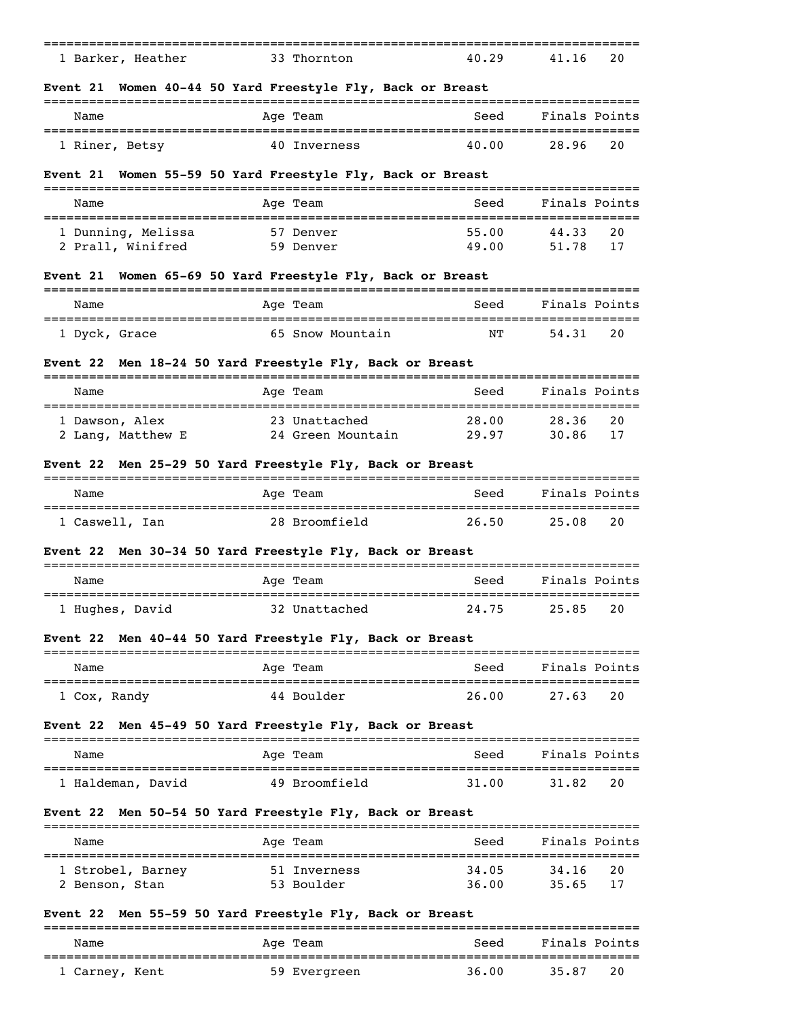| _____           |          |       |           |  |
|-----------------|----------|-------|-----------|--|
| Barker, Heather | Thornton | 40.29 | 20<br>41. |  |

## **Event 21 Women 40-44 50 Yard Freestyle Fly, Back or Breast**

| Name           | Age Team     | Seed  | Finals Points |  |
|----------------|--------------|-------|---------------|--|
| 1 Riner, Betsy | 40 Inverness | 40.00 | 20<br>28.96   |  |

## **Event 21 Women 55-59 50 Yard Freestyle Fly, Back or Breast**

| Name                                    | Age Team               | Seed           | Finals Points              |
|-----------------------------------------|------------------------|----------------|----------------------------|
| 1 Dunning, Melissa<br>2 Prall, Winifred | 57 Denver<br>59 Denver | 55.00<br>49.00 | 44.33<br>20<br>51.78<br>17 |

# **Event 21 Women 65-69 50 Yard Freestyle Fly, Back or Breast**

| Name          | Age Team         | Seed | Finals Points |  |
|---------------|------------------|------|---------------|--|
| 1 Dyck, Grace | 65 Snow Mountain | ΝT   | -20<br>54.31  |  |

## **Event 22 Men 18-24 50 Yard Freestyle Fly, Back or Breast**

| Name                                | Age Team                           | Seed           | Finals Points              |
|-------------------------------------|------------------------------------|----------------|----------------------------|
| 1 Dawson, Alex<br>2 Lang, Matthew E | 23 Unattached<br>24 Green Mountain | 28.00<br>29.97 | 28.36<br>20<br>30.86<br>17 |

## **Event 22 Men 25-29 50 Yard Freestyle Fly, Back or Breast**

| Name           | Age Team      | Seed  | Finals Points |  |
|----------------|---------------|-------|---------------|--|
| 1 Caswell, Ian | 28 Broomfield | 26.50 | 25.08<br>20   |  |

# **Event 22 Men 30-34 50 Yard Freestyle Fly, Back or Breast**

| Name            | Age Team      | Seed  | Finals Points |  |
|-----------------|---------------|-------|---------------|--|
| 1 Hughes, David | 32 Unattached | 24.75 | - 20<br>25.85 |  |

## **Event 22 Men 40-44 50 Yard Freestyle Fly, Back or Breast**

| Name         | Age Team   | Seed  | Finals Points |  |
|--------------|------------|-------|---------------|--|
|              |            |       |               |  |
| 1 Cox, Randy | 44 Boulder | 26.00 | 27.63<br>-20  |  |

# **Event 22 Men 45-49 50 Yard Freestyle Fly, Back or Breast**

| Name            | Age Team      | Seed  | Finals Points |
|-----------------|---------------|-------|---------------|
| Haldeman, David | 49 Broomfield | 31.00 | -20<br>31.82  |

## **Event 22 Men 50-54 50 Yard Freestyle Fly, Back or Breast**

| Name              | Age Team     | Seed  | Finals Points |
|-------------------|--------------|-------|---------------|
| 1 Strobel, Barney | 51 Inverness | 34.05 | 20<br>34,16   |
| 2 Benson, Stan    | 53 Boulder   | 36.00 | -17<br>35.65  |

## **Event 22 Men 55-59 50 Yard Freestyle Fly, Back or Breast**

| Name           | Age Team     | Seed  | Finals Points |
|----------------|--------------|-------|---------------|
| 1 Carney, Kent | 59 Evergreen | 36.00 | 20<br>35.87   |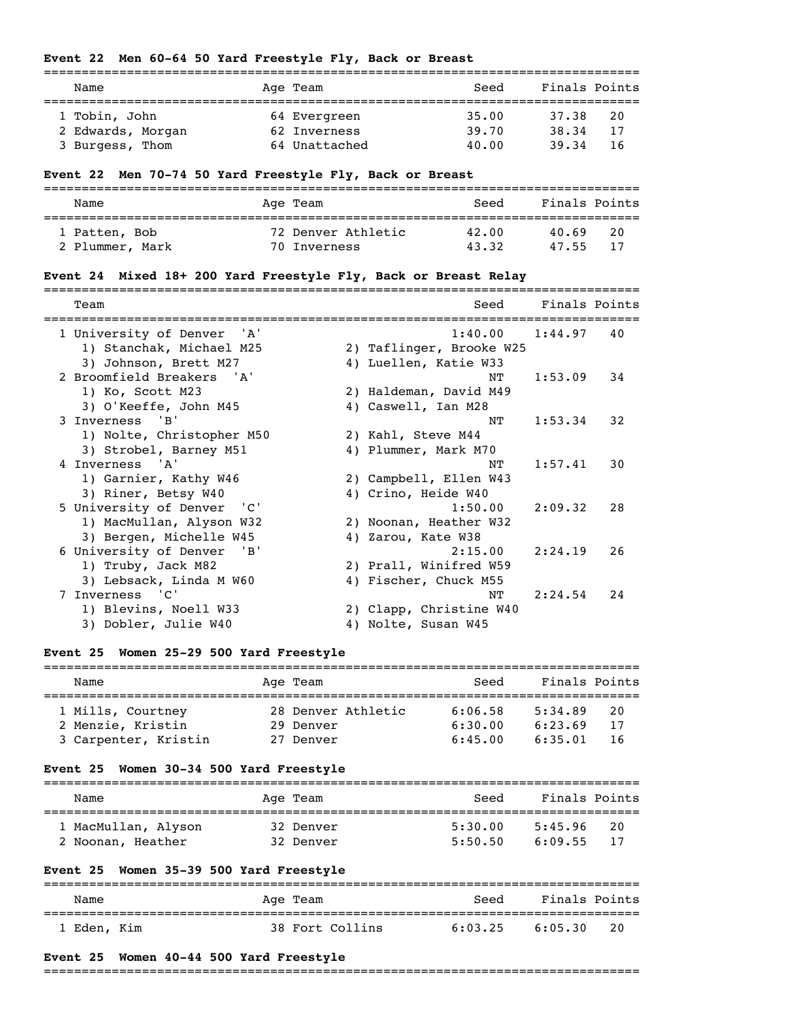# **Event 22 Men 60-64 50 Yard Freestyle Fly, Back or Breast**

| Name              | Age Team      | Seed  | Finals Points |  |
|-------------------|---------------|-------|---------------|--|
|                   |               |       |               |  |
| 1 Tobin, John     | 64 Evergreen  | 35.00 | 37.38<br>20   |  |
| 2 Edwards, Morgan | 62 Inverness  | 39.70 | 38.34<br>17   |  |
| 3 Burgess, Thom   | 64 Unattached | 40.00 | 39.34<br>-16  |  |

# **Event 22 Men 70-74 50 Yard Freestyle Fly, Back or Breast**

| Name                             | Age Team                           | Seed           | Finals Points               |
|----------------------------------|------------------------------------|----------------|-----------------------------|
| 1 Patten, Bob<br>2 Plummer, Mark | 72 Denver Athletic<br>70 Inverness | 42.00<br>43.32 | 20<br>40.69<br>-17<br>47.55 |

# **Event 24 Mixed 18+ 200 Yard Freestyle Fly, Back or Breast Relay**

| 1 University of Denver 'A'<br>1:40.00<br>1:44.97<br>40<br>1) Stanchak, Michael M25<br>2) Taflinger, Brooke W25<br>3) Johnson, Brett M27<br>4) Luellen, Katie W33<br>2 Broomfield Breakers 'A'<br>1:53.09<br>34<br>NΤ<br>1) Ko, Scott M23<br>2) Haldeman, David M49<br>3) O'Keeffe, John M45<br>4) Caswell, Ian M28<br>3 Inverness 'B'<br>32<br>1:53.34<br>NΤ<br>1) Nolte, Christopher M50<br>2) Kahl, Steve M44<br>3) Strobel, Barney M51<br>4) Plummer, Mark M70<br>4 Inverness 'A'<br>1:57.41<br>30<br>NͲ<br>1) Garnier, Kathy W46<br>2) Campbell, Ellen W43<br>3) Riner, Betsy W40<br>4) Crino, Heide W40<br>5 University of Denver<br>"C"<br>1:50.00<br>2:09.32<br>28<br>1) MacMullan, Alyson W32<br>2) Noonan, Heather W32<br>3) Bergen, Michelle W45<br>4) Zarou, Kate W38<br>6 University of Denver<br>'B'<br>2:15.00<br>2:24.19<br>26<br>1) Truby, Jack M82<br>2) Prall, Winifred W59<br>3) Lebsack, Linda M W60<br>4) Fischer, Chuck M55<br>Inverness 'C'<br>7<br>2:24.54<br>24<br>NΤ<br>1) Blevins, Noell W33<br>2) Clapp, Christine W40 | Team                 | Seed                | Finals Points |  |
|----------------------------------------------------------------------------------------------------------------------------------------------------------------------------------------------------------------------------------------------------------------------------------------------------------------------------------------------------------------------------------------------------------------------------------------------------------------------------------------------------------------------------------------------------------------------------------------------------------------------------------------------------------------------------------------------------------------------------------------------------------------------------------------------------------------------------------------------------------------------------------------------------------------------------------------------------------------------------------------------------------------------------------------------------|----------------------|---------------------|---------------|--|
|                                                                                                                                                                                                                                                                                                                                                                                                                                                                                                                                                                                                                                                                                                                                                                                                                                                                                                                                                                                                                                                    |                      |                     |               |  |
|                                                                                                                                                                                                                                                                                                                                                                                                                                                                                                                                                                                                                                                                                                                                                                                                                                                                                                                                                                                                                                                    |                      |                     |               |  |
|                                                                                                                                                                                                                                                                                                                                                                                                                                                                                                                                                                                                                                                                                                                                                                                                                                                                                                                                                                                                                                                    |                      |                     |               |  |
|                                                                                                                                                                                                                                                                                                                                                                                                                                                                                                                                                                                                                                                                                                                                                                                                                                                                                                                                                                                                                                                    |                      |                     |               |  |
|                                                                                                                                                                                                                                                                                                                                                                                                                                                                                                                                                                                                                                                                                                                                                                                                                                                                                                                                                                                                                                                    |                      |                     |               |  |
|                                                                                                                                                                                                                                                                                                                                                                                                                                                                                                                                                                                                                                                                                                                                                                                                                                                                                                                                                                                                                                                    |                      |                     |               |  |
|                                                                                                                                                                                                                                                                                                                                                                                                                                                                                                                                                                                                                                                                                                                                                                                                                                                                                                                                                                                                                                                    |                      |                     |               |  |
|                                                                                                                                                                                                                                                                                                                                                                                                                                                                                                                                                                                                                                                                                                                                                                                                                                                                                                                                                                                                                                                    |                      |                     |               |  |
|                                                                                                                                                                                                                                                                                                                                                                                                                                                                                                                                                                                                                                                                                                                                                                                                                                                                                                                                                                                                                                                    |                      |                     |               |  |
|                                                                                                                                                                                                                                                                                                                                                                                                                                                                                                                                                                                                                                                                                                                                                                                                                                                                                                                                                                                                                                                    |                      |                     |               |  |
|                                                                                                                                                                                                                                                                                                                                                                                                                                                                                                                                                                                                                                                                                                                                                                                                                                                                                                                                                                                                                                                    |                      |                     |               |  |
|                                                                                                                                                                                                                                                                                                                                                                                                                                                                                                                                                                                                                                                                                                                                                                                                                                                                                                                                                                                                                                                    |                      |                     |               |  |
|                                                                                                                                                                                                                                                                                                                                                                                                                                                                                                                                                                                                                                                                                                                                                                                                                                                                                                                                                                                                                                                    |                      |                     |               |  |
|                                                                                                                                                                                                                                                                                                                                                                                                                                                                                                                                                                                                                                                                                                                                                                                                                                                                                                                                                                                                                                                    |                      |                     |               |  |
|                                                                                                                                                                                                                                                                                                                                                                                                                                                                                                                                                                                                                                                                                                                                                                                                                                                                                                                                                                                                                                                    |                      |                     |               |  |
|                                                                                                                                                                                                                                                                                                                                                                                                                                                                                                                                                                                                                                                                                                                                                                                                                                                                                                                                                                                                                                                    |                      |                     |               |  |
|                                                                                                                                                                                                                                                                                                                                                                                                                                                                                                                                                                                                                                                                                                                                                                                                                                                                                                                                                                                                                                                    |                      |                     |               |  |
|                                                                                                                                                                                                                                                                                                                                                                                                                                                                                                                                                                                                                                                                                                                                                                                                                                                                                                                                                                                                                                                    |                      |                     |               |  |
|                                                                                                                                                                                                                                                                                                                                                                                                                                                                                                                                                                                                                                                                                                                                                                                                                                                                                                                                                                                                                                                    |                      |                     |               |  |
|                                                                                                                                                                                                                                                                                                                                                                                                                                                                                                                                                                                                                                                                                                                                                                                                                                                                                                                                                                                                                                                    |                      |                     |               |  |
|                                                                                                                                                                                                                                                                                                                                                                                                                                                                                                                                                                                                                                                                                                                                                                                                                                                                                                                                                                                                                                                    | 3) Dobler, Julie W40 | 4) Nolte, Susan W45 |               |  |

# **Event 25 Women 25-29 500 Yard Freestyle**

| Name                 | Age Team           | Seed    | Finals Points  |
|----------------------|--------------------|---------|----------------|
| 1 Mills, Courtney    | 28 Denver Athletic | 6:06.58 | 5:34.89<br>20  |
| 2 Menzie, Kristin    | 29 Denver          | 6:30.00 | 6:23.69<br>17  |
| 3 Carpenter, Kristin | 27 Denver          | 6:45.00 | 6:35.01<br>-16 |

# **Event 25 Women 30-34 500 Yard Freestyle**

| Name                                     | Age Team               | Seed               | Finals Points                  |
|------------------------------------------|------------------------|--------------------|--------------------------------|
| 1 MacMullan, Alyson<br>2 Noonan, Heather | 32 Denver<br>32 Denver | 5:30.00<br>5:50.50 | 5:45.96<br>20<br>6:09.55<br>17 |

# **Event 25 Women 35-39 500 Yard Freestyle**

| Name        |  | Aqe Team        | Seed    | Finals Points |    |
|-------------|--|-----------------|---------|---------------|----|
| 1 Eden, Kim |  | 38 Fort Collins | 6:03.25 | 6:05.30       | 20 |

## **Event 25 Women 40-44 500 Yard Freestyle**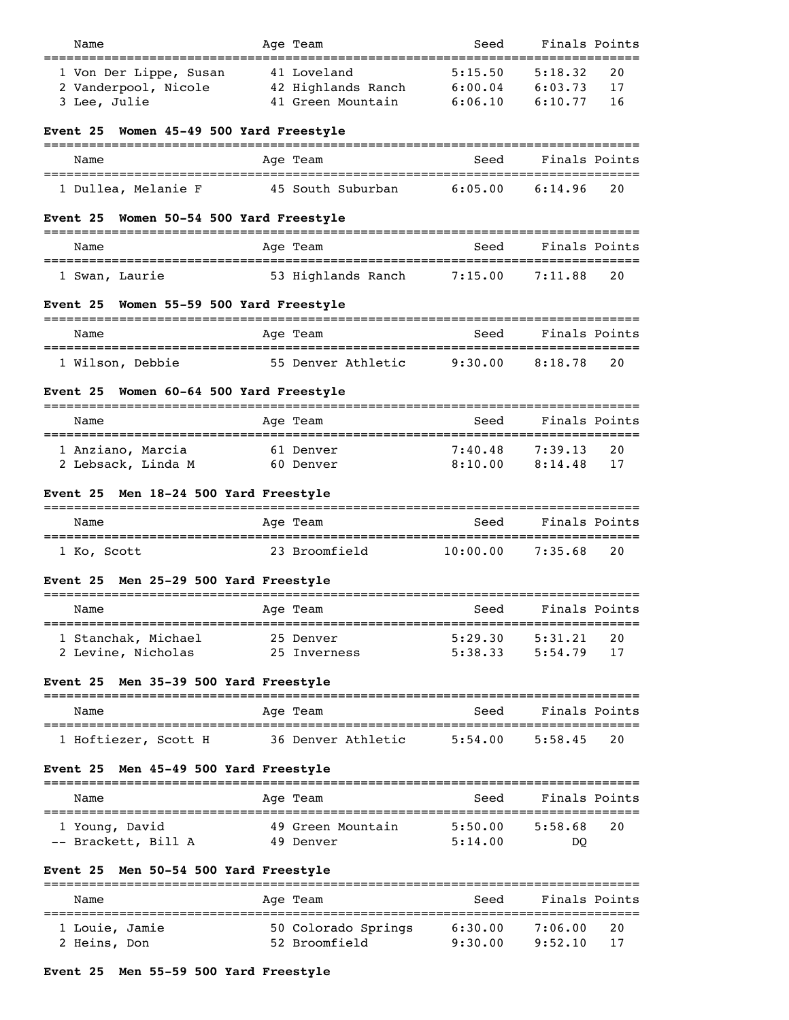| Name                                                           | Age Team                                                | Seed                          | Finals Points                                   |
|----------------------------------------------------------------|---------------------------------------------------------|-------------------------------|-------------------------------------------------|
| 1 Von Der Lippe, Susan<br>2 Vanderpool, Nicole<br>3 Lee, Julie | 41 Loveland<br>42 Highlands Ranch<br>41 Green Mountain  | 5:15.50<br>6:00.04<br>6:06.10 | 5:18.32<br>20<br>6:03.73<br>17<br>6:10.77<br>16 |
| Women 45-49 500 Yard Freestyle<br>Event 25                     |                                                         |                               |                                                 |
| Name                                                           | Age Team                                                | Seed                          | Finals Points                                   |
| 1 Dullea, Melanie F                                            | 45 South Suburban                                       | 6:05.00                       | 20<br>6:14.96                                   |
| Women 50-54 500 Yard Freestyle<br>Event 25                     |                                                         |                               |                                                 |
| Name                                                           | Age Team                                                | Seed                          | Finals Points                                   |
| 1 Swan, Laurie                                                 | 53 Highlands Ranch                                      | 7:15.007:11.88                | 20                                              |
| Event 25 Women 55-59 500 Yard Freestyle                        |                                                         |                               |                                                 |
| Name                                                           | Age Team                                                | Seed                          | Finals Points                                   |
| 1 Wilson, Debbie                                               | 55 Denver Athletic 9:30.00 8:18.78                      |                               | 20                                              |
| Women 60-64 500 Yard Freestyle<br>Event 25                     |                                                         |                               |                                                 |
| Name                                                           | Age Team                                                | Seed                          | Finals Points                                   |
| 1 Anziano, Marcia<br>2 Lebsack, Linda M                        | 61 Denver<br>60 Denver                                  | 7:40.48<br>8:10.00            | 7:39.13<br>20<br>8:14.48<br>17                  |
| Event 25 Men 18-24 500 Yard Freestyle                          |                                                         |                               |                                                 |
| Name                                                           | Age Team                                                | Seed                          | Finals Points                                   |
| 1 Ko, Scott                                                    | 23 Broomfield                                           | $10:00.00$ 7:35.68            | 20                                              |
| Event 25 Men 25-29 500 Yard Freestyle                          |                                                         |                               |                                                 |
| Name                                                           | Age Team                                                |                               | Seed Finals Points                              |
| 1 Stanchak, Michael<br>2 Levine, Nicholas                      | 25 Denver<br>25 Inverness                               | 5:29.30                       | 5:31.21<br>20<br>$5:38.33$ $5:54.79$<br>17      |
| Event 25 Men 35-39 500 Yard Freestyle                          |                                                         |                               |                                                 |
| Name                                                           | Age Team                                                |                               | Seed Finals Points                              |
|                                                                | 1 Hoftiezer, Scott H 36 Denver Athletic 5:54.00 5:58.45 |                               | 20                                              |
| Event 25 Men 45-49 500 Yard Freestyle                          |                                                         |                               |                                                 |
| Name                                                           | Age Team                                                | Seed                          | Finals Points                                   |
| 1 Young, David<br>-- Brackett, Bill A 49 Denver                | 49 Green Mountain 5:50.00                               | 5:14.00                       | 20<br>5:58.68<br>DO.                            |
| Event 25 Men 50-54 500 Yard Freestyle                          |                                                         |                               |                                                 |
| Name                                                           | Age Team                                                | Seed                          | Finals Points                                   |
| 1 Louie, Jamie                                                 |                                                         |                               | 20                                              |

2 Heins, Don 52 Broomfield 9:30.00 9:52.10 17

# **Event 25 Men 55-59 500 Yard Freestyle**